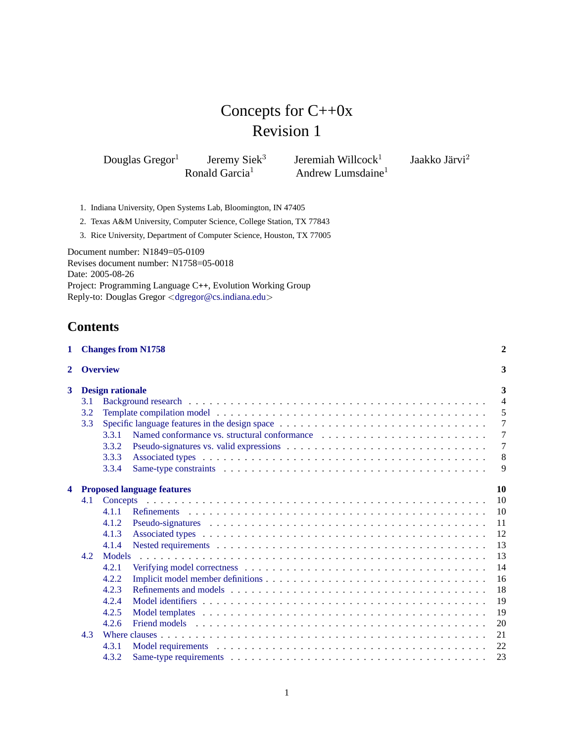# Concepts for C++0x Revision 1

Douglas Gregor<sup>1</sup> Jeremy Siek<sup>3</sup><br>Ronald Garcia<sup>1</sup> Jeremiah Willcock $1$ Andrew Lumsdaine $<sup>1</sup>$ </sup> Jaakko Järvi $^2$ 

- 1. Indiana University, Open Systems Lab, Bloomington, IN 47405
- 2. Texas A&M University, Computer Science, College Station, TX 77843
- 3. Rice University, Department of Computer Science, Houston, TX 77005

Document number: N1849=05-0109 Revises document number: N1758=05-0018 Date: 2005-08-26 Project: Programming Language C++, Evolution Working Group Reply-to: Douglas Gregor <[dgregor@cs.indiana.edu](mailto:dgregor@cs.indiana.edu)>

# **Contents**

| $\mathbf{1}$ |     |                         | <b>Changes from N1758</b>                      | $\mathbf{2}$   |
|--------------|-----|-------------------------|------------------------------------------------|----------------|
| $\mathbf{2}$ |     | <b>Overview</b>         |                                                | 3              |
| $3^{\circ}$  |     | <b>Design rationale</b> |                                                | 3              |
|              | 3.1 |                         |                                                | $\overline{4}$ |
|              | 3.2 |                         |                                                | 5              |
|              | 3.3 |                         | Specific language features in the design space | 7              |
|              |     | 3.3.1                   |                                                | $\overline{7}$ |
|              |     | 3.3.2                   |                                                | 7              |
|              |     | 3.3.3                   |                                                | 8              |
|              |     | 3.3.4                   |                                                | 9              |
| 4            |     |                         | <b>Proposed language features</b>              | 10             |
|              | 4.1 |                         |                                                | 10             |
|              |     | 4.1.1                   |                                                | 10             |
|              |     | 4.1.2                   |                                                | 11             |
|              |     | 4.1.3                   |                                                | 12             |
|              |     | 4.1.4                   |                                                | 13             |
|              | 4.2 | Models                  |                                                | 13             |
|              |     | 4.2.1                   |                                                | 14             |
|              |     | 4.2.2                   |                                                | 16             |
|              |     | 4.2.3                   |                                                | 18             |
|              |     | 4.2.4                   |                                                | 19             |
|              |     | 4.2.5                   |                                                | 19             |
|              |     | 4.2.6                   |                                                | 20             |
|              | 4.3 |                         |                                                | 21             |
|              |     | 4.3.1                   |                                                | 22             |
|              |     | 4.3.2                   |                                                | 23             |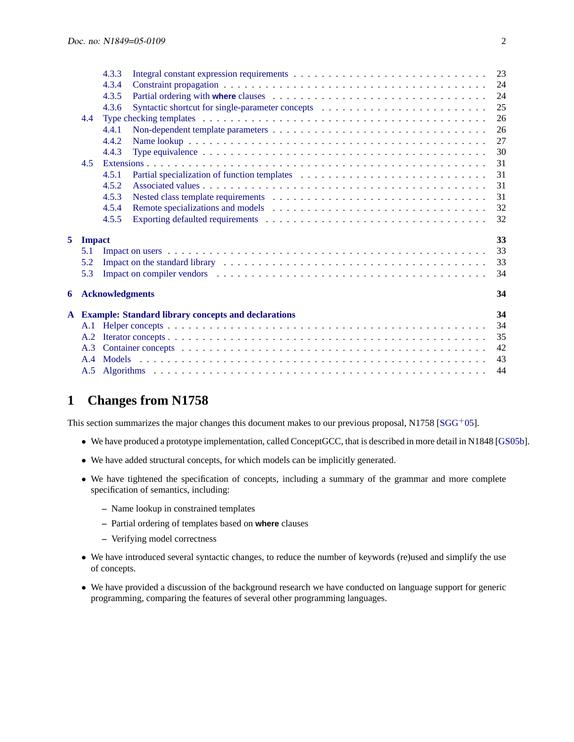|   |               | 4.3.3                  |                                                                                                                                                                                                                                | 23 |
|---|---------------|------------------------|--------------------------------------------------------------------------------------------------------------------------------------------------------------------------------------------------------------------------------|----|
|   |               | 4.3.4                  |                                                                                                                                                                                                                                | 24 |
|   |               | 4.3.5                  |                                                                                                                                                                                                                                | 24 |
|   |               | 4.3.6                  |                                                                                                                                                                                                                                | 25 |
|   | 4.4           |                        |                                                                                                                                                                                                                                | 26 |
|   |               | 4.4.1                  |                                                                                                                                                                                                                                | 26 |
|   |               | 4.4.2                  |                                                                                                                                                                                                                                | 27 |
|   |               | 4.4.3                  | Type equivalence $\dots \dots \dots \dots \dots \dots \dots \dots \dots \dots \dots \dots \dots \dots \dots \dots \dots \dots$                                                                                                 | 30 |
|   | 4.5           |                        |                                                                                                                                                                                                                                | 31 |
|   |               | 4.5.1                  |                                                                                                                                                                                                                                | 31 |
|   |               | 4.5.2                  |                                                                                                                                                                                                                                | 31 |
|   |               | 4.5.3                  |                                                                                                                                                                                                                                | 31 |
|   |               | 4.5.4                  |                                                                                                                                                                                                                                | 32 |
|   |               | 4.5.5                  |                                                                                                                                                                                                                                | 32 |
| 5 | <b>Impact</b> |                        |                                                                                                                                                                                                                                | 33 |
|   | 5.1           |                        |                                                                                                                                                                                                                                | 33 |
|   | 5.2           |                        |                                                                                                                                                                                                                                | 33 |
|   | 5.3           |                        | Impact on compiler vendors entertainment in the set of the set of the set of the set of the set of the set of the set of the set of the set of the set of the set of the set of the set of the set of the set of the set of th | 34 |
|   |               |                        |                                                                                                                                                                                                                                |    |
| 6 |               | <b>Acknowledgments</b> |                                                                                                                                                                                                                                | 34 |
|   |               |                        | A Example: Standard library concepts and declarations                                                                                                                                                                          | 34 |
|   | A.1           |                        |                                                                                                                                                                                                                                | 34 |
|   | A.2           |                        |                                                                                                                                                                                                                                | 35 |
|   |               |                        |                                                                                                                                                                                                                                | 42 |
|   | A.4           |                        |                                                                                                                                                                                                                                | 43 |
|   |               |                        |                                                                                                                                                                                                                                | 44 |
|   |               |                        |                                                                                                                                                                                                                                |    |

# <span id="page-1-0"></span>**1 Changes from N1758**

This section summarizes the major changes this document makes to our previous proposal, N1758 [\[SGG](#page-45-0)+05].

- We have produced a prototype implementation, called ConceptGCC, that is described in more detail in N1848 [\[GS05b\]](#page-45-1).
- We have added structural concepts, for which models can be implicitly generated.
- We have tightened the specification of concepts, including a summary of the grammar and more complete specification of semantics, including:
	- **–** Name lookup in constrained templates
	- **–** Partial ordering of templates based on **where** clauses
	- **–** Verifying model correctness
- We have introduced several syntactic changes, to reduce the number of keywords (re)used and simplify the use of concepts.
- We have provided a discussion of the background research we have conducted on language support for generic programming, comparing the features of several other programming languages.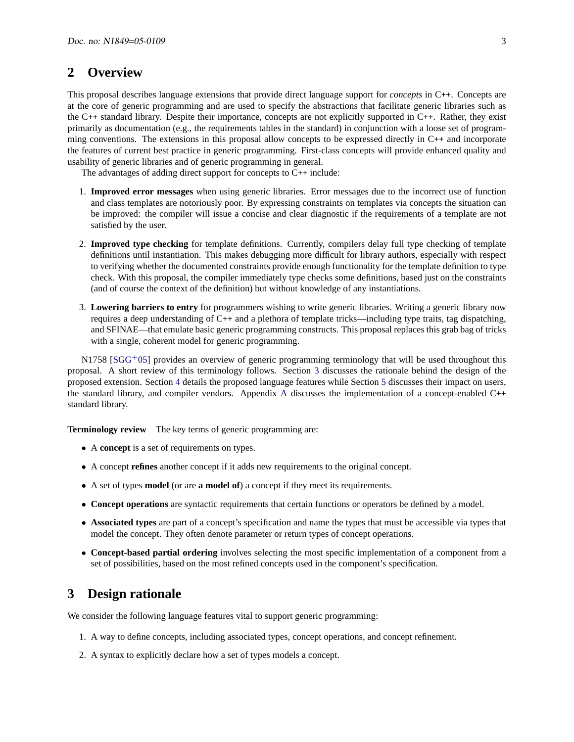# <span id="page-2-0"></span>**2 Overview**

This proposal describes language extensions that provide direct language support for *concepts* in C++. Concepts are at the core of generic programming and are used to specify the abstractions that facilitate generic libraries such as the C++ standard library. Despite their importance, concepts are not explicitly supported in C++. Rather, they exist primarily as documentation (e.g., the requirements tables in the standard) in conjunction with a loose set of programming conventions. The extensions in this proposal allow concepts to be expressed directly in C++ and incorporate the features of current best practice in generic programming. First-class concepts will provide enhanced quality and usability of generic libraries and of generic programming in general.

The advantages of adding direct support for concepts to C++ include:

- 1. **Improved error messages** when using generic libraries. Error messages due to the incorrect use of function and class templates are notoriously poor. By expressing constraints on templates via concepts the situation can be improved: the compiler will issue a concise and clear diagnostic if the requirements of a template are not satisfied by the user.
- 2. **Improved type checking** for template definitions. Currently, compilers delay full type checking of template definitions until instantiation. This makes debugging more difficult for library authors, especially with respect to verifying whether the documented constraints provide enough functionality for the template definition to type check. With this proposal, the compiler immediately type checks some definitions, based just on the constraints (and of course the context of the definition) but without knowledge of any instantiations.
- 3. **Lowering barriers to entry** for programmers wishing to write generic libraries. Writing a generic library now requires a deep understanding of C++ and a plethora of template tricks—including type traits, tag dispatching, and SFINAE—that emulate basic generic programming constructs. This proposal replaces this grab bag of tricks with a single, coherent model for generic programming.

N1758 [\[SGG](#page-45-0)<sup>+</sup>05] provides an overview of generic programming terminology that will be used throughout this proposal. A short review of this terminology follows. Section [3](#page-2-1) discusses the rationale behind the design of the proposed extension. Section [4](#page-9-0) details the proposed language features while Section [5](#page-32-0) discusses their impact on users, the standard library, and compiler vendors. Appendix [A](#page-33-2) discusses the implementation of a concept-enabled C++ standard library.

**Terminology review** The key terms of generic programming are:

- A **concept** is a set of requirements on types.
- A concept **refines** another concept if it adds new requirements to the original concept.
- A set of types **model** (or are **a model of**) a concept if they meet its requirements.
- **Concept operations** are syntactic requirements that certain functions or operators be defined by a model.
- **Associated types** are part of a concept's specification and name the types that must be accessible via types that model the concept. They often denote parameter or return types of concept operations.
- **Concept-based partial ordering** involves selecting the most specific implementation of a component from a set of possibilities, based on the most refined concepts used in the component's specification.

# <span id="page-2-1"></span>**3 Design rationale**

We consider the following language features vital to support generic programming:

- 1. A way to define concepts, including associated types, concept operations, and concept refinement.
- 2. A syntax to explicitly declare how a set of types models a concept.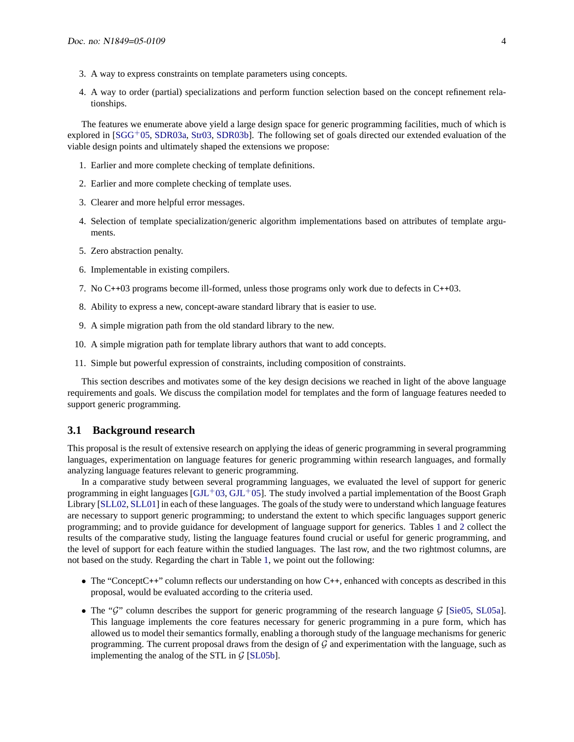- 3. A way to express constraints on template parameters using concepts.
- 4. A way to order (partial) specializations and perform function selection based on the concept refinement relationships.

The features we enumerate above yield a large design space for generic programming facilities, much of which is explored in  $[SGG<sup>+</sup>05, SDR03a, Str03, SDR03b]$  $[SGG<sup>+</sup>05, SDR03a, Str03, SDR03b]$  $[SGG<sup>+</sup>05, SDR03a, Str03, SDR03b]$  $[SGG<sup>+</sup>05, SDR03a, Str03, SDR03b]$  $[SGG<sup>+</sup>05, SDR03a, Str03, SDR03b]$  $[SGG<sup>+</sup>05, SDR03a, Str03, SDR03b]$ . The following set of goals directed our extended evaluation of the viable design points and ultimately shaped the extensions we propose:

- 1. Earlier and more complete checking of template definitions.
- 2. Earlier and more complete checking of template uses.
- 3. Clearer and more helpful error messages.
- 4. Selection of template specialization/generic algorithm implementations based on attributes of template arguments.
- 5. Zero abstraction penalty.
- 6. Implementable in existing compilers.
- 7. No C++03 programs become ill-formed, unless those programs only work due to defects in C++03.
- 8. Ability to express a new, concept-aware standard library that is easier to use.
- 9. A simple migration path from the old standard library to the new.
- 10. A simple migration path for template library authors that want to add concepts.
- 11. Simple but powerful expression of constraints, including composition of constraints.

This section describes and motivates some of the key design decisions we reached in light of the above language requirements and goals. We discuss the compilation model for templates and the form of language features needed to support generic programming.

### <span id="page-3-0"></span>**3.1 Background research**

This proposal is the result of extensive research on applying the ideas of generic programming in several programming languages, experimentation on language features for generic programming within research languages, and formally analyzing language features relevant to generic programming.

In a comparative study between several programming languages, we evaluated the level of support for generic programming in eight languages  $(GJL+03, GJL+05]$  $(GJL+03, GJL+05]$  $(GJL+03, GJL+05]$ . The study involved a partial implementation of the Boost Graph Library [\[SLL02,](#page-45-5) [SLL01\]](#page-45-6) in each of these languages. The goals of the study were to understand which language features are necessary to support generic programming; to understand the extent to which specific languages support generic programming; and to provide guidance for development of language support for generics. Tables [1](#page-4-1) and [2](#page-5-0) collect the results of the comparative study, listing the language features found crucial or useful for generic programming, and the level of support for each feature within the studied languages. The last row, and the two rightmost columns, are not based on the study. Regarding the chart in Table [1,](#page-4-1) we point out the following:

- The "ConceptC++" column reflects our understanding on how C++, enhanced with concepts as described in this proposal, would be evaluated according to the criteria used.
- The "G" column describes the support for generic programming of the research language  $\mathcal{G}$  [\[Sie05,](#page-45-7) [SL05a\]](#page-45-8). This language implements the core features necessary for generic programming in a pure form, which has allowed us to model their semantics formally, enabling a thorough study of the language mechanisms for generic programming. The current proposal draws from the design of  $G$  and experimentation with the language, such as implementing the analog of the STL in  $G$  [\[SL05b\]](#page-45-9).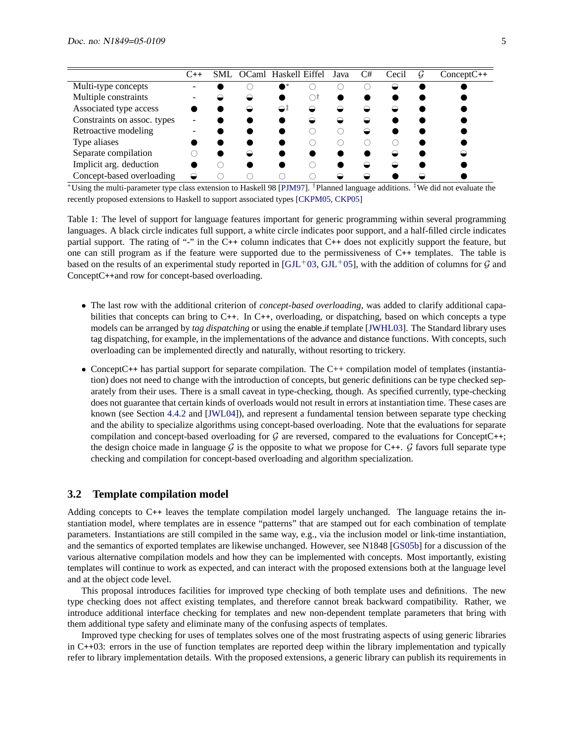|                             | C++ | SML. | OCaml Haskell Eiffel |    | Java | C# | Cecil | G | $ConceptC++$ |
|-----------------------------|-----|------|----------------------|----|------|----|-------|---|--------------|
| Multi-type concepts         |     |      |                      |    |      |    |       |   |              |
| Multiple constraints        |     |      |                      |    |      |    |       |   |              |
| Associated type access      |     |      | ⇔                    | ⊖∓ |      |    |       |   |              |
| Constraints on assoc. types |     |      |                      |    |      |    |       |   |              |
| Retroactive modeling        |     |      |                      |    |      |    |       |   |              |
| Type aliases                |     |      |                      |    |      |    |       |   |              |
| Separate compilation        |     |      |                      |    |      |    |       |   |              |
| Implicit arg. deduction     |     |      |                      |    |      |    |       |   |              |
| Concept-based overloading   |     |      |                      |    |      |    |       |   |              |

 $\bullet$  \*Using the multi-parameter type class extension to Haskell 98 [\[PJM97\]](#page-45-10). <sup>†</sup>Planned language additions. <sup>‡</sup>We did not evaluate the recently proposed extensions to Haskell to support associated types [\[CKPM05,](#page-44-2) [CKP05\]](#page-44-3)

<span id="page-4-1"></span>Table 1: The level of support for language features important for generic programming within several programming languages. A black circle indicates full support, a white circle indicates poor support, and a half-filled circle indicates partial support. The rating of "-" in the C++ column indicates that C++ does not explicitly support the feature, but one can still program as if the feature were supported due to the permissiveness of C++ templates. The table is based on the results of an experimental study reported in  $[GJL^+03, GJL^+05]$  $[GJL^+03, GJL^+05]$  $[GJL^+03, GJL^+05]$ , with the addition of columns for G and ConceptC++and row for concept-based overloading.

- The last row with the additional criterion of *concept-based overloading*, was added to clarify additional capabilities that concepts can bring to C++. In C++, overloading, or dispatching, based on which concepts a type models can be arranged by *tag dispatching* or using the enable if template [\[JWHL03\]](#page-45-11). The Standard library uses tag dispatching, for example, in the implementations of the advance and distance functions. With concepts, such overloading can be implemented directly and naturally, without resorting to trickery.
- ConceptC++ has partial support for separate compilation. The C++ compilation model of templates (instantiation) does not need to change with the introduction of concepts, but generic definitions can be type checked separately from their uses. There is a small caveat in type-checking, though. As specified currently, type-checking does not guarantee that certain kinds of overloads would not result in errors at instantiation time. These cases are known (see Section [4.4.2](#page-26-0) and [\[JWL04\]](#page-45-12)), and represent a fundamental tension between separate type checking and the ability to specialize algorithms using concept-based overloading. Note that the evaluations for separate compilation and concept-based overloading for  $G$  are reversed, compared to the evaluations for ConceptC++; the design choice made in language  $G$  is the opposite to what we propose for C++.  $G$  favors full separate type checking and compilation for concept-based overloading and algorithm specialization.

### <span id="page-4-0"></span>**3.2 Template compilation model**

Adding concepts to C++ leaves the template compilation model largely unchanged. The language retains the instantiation model, where templates are in essence "patterns" that are stamped out for each combination of template parameters. Instantiations are still compiled in the same way, e.g., via the inclusion model or link-time instantiation, and the semantics of exported templates are likewise unchanged. However, see N1848 [\[GS05b\]](#page-45-1) for a discussion of the various alternative compilation models and how they can be implemented with concepts. Most importantly, existing templates will continue to work as expected, and can interact with the proposed extensions both at the language level and at the object code level.

This proposal introduces facilities for improved type checking of both template uses and definitions. The new type checking does not affect existing templates, and therefore cannot break backward compatibility. Rather, we introduce additional interface checking for templates and new non-dependent template parameters that bring with them additional type safety and eliminate many of the confusing aspects of templates.

Improved type checking for uses of templates solves one of the most frustrating aspects of using generic libraries in C++03: errors in the use of function templates are reported deep within the library implementation and typically refer to library implementation details. With the proposed extensions, a generic library can publish its requirements in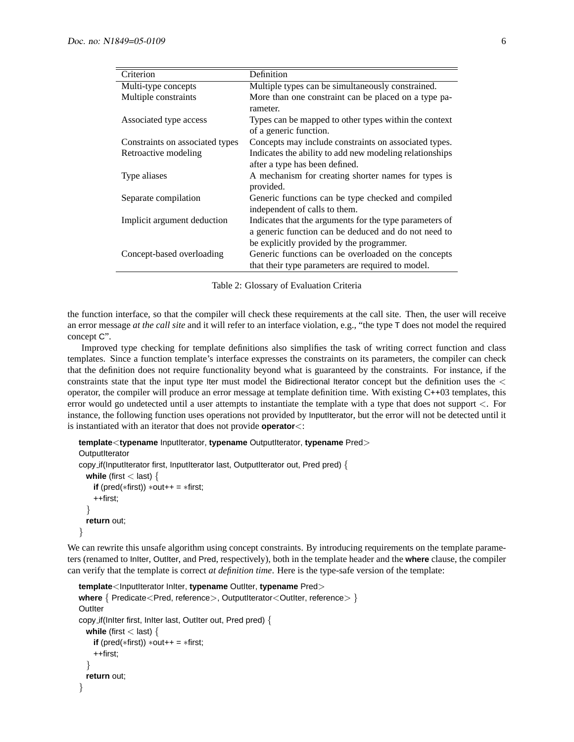| Criterion                       | Definition                                                                                                                                                   |
|---------------------------------|--------------------------------------------------------------------------------------------------------------------------------------------------------------|
| Multi-type concepts             | Multiple types can be simultaneously constrained.                                                                                                            |
| Multiple constraints            | More than one constraint can be placed on a type pa-<br>rameter.                                                                                             |
| Associated type access          | Types can be mapped to other types within the context<br>of a generic function.                                                                              |
| Constraints on associated types | Concepts may include constraints on associated types.                                                                                                        |
| Retroactive modeling            | Indicates the ability to add new modeling relationships<br>after a type has been defined.                                                                    |
| Type aliases                    | A mechanism for creating shorter names for types is<br>provided.                                                                                             |
| Separate compilation            | Generic functions can be type checked and compiled<br>independent of calls to them.                                                                          |
| Implicit argument deduction     | Indicates that the arguments for the type parameters of<br>a generic function can be deduced and do not need to<br>be explicitly provided by the programmer. |
| Concept-based overloading       | Generic functions can be overloaded on the concepts<br>that their type parameters are required to model.                                                     |

<span id="page-5-0"></span>Table 2: Glossary of Evaluation Criteria

the function interface, so that the compiler will check these requirements at the call site. Then, the user will receive an error message *at the call site* and it will refer to an interface violation, e.g., "the type T does not model the required concept C".

Improved type checking for template definitions also simplifies the task of writing correct function and class templates. Since a function template's interface expresses the constraints on its parameters, the compiler can check that the definition does not require functionality beyond what is guaranteed by the constraints. For instance, if the constraints state that the input type Iter must model the Bidirectional Iterator concept but the definition uses the < operator, the compiler will produce an error message at template definition time. With existing C++03 templates, this error would go undetected until a user attempts to instantiate the template with a type that does not support <. For instance, the following function uses operations not provided by InputIterator, but the error will not be detected until it is instantiated with an iterator that does not provide **operator**<:

```
template<typename InputIterator, typename OutputIterator, typename Pred>
OutputIterator
copy if(InputIterator first, InputIterator last, OutputIterator out, Pred pred) {
  while (first < last) {
    if (pred(*first)) *out+ + = *first;
    ++first;
  }
  return out;
}
```
We can rewrite this unsafe algorithm using concept constraints. By introducing requirements on the template parameters (renamed to InIter, OutIter, and Pred, respectively), both in the template header and the **where** clause, the compiler can verify that the template is correct *at definition time*. Here is the type-safe version of the template:

```
template<InputIterator InIter, typename OutIter, typename Pred>
where { Predicate<Pred, reference>, OutputIterator<OutIter, reference> }
OutIter
copy if(InIter first, InIter last, OutIter out, Pred pred) {
  while (first < last) {
   if (pred(*first)) *out+ = *first;
    ++first;
  }
  return out;
}
```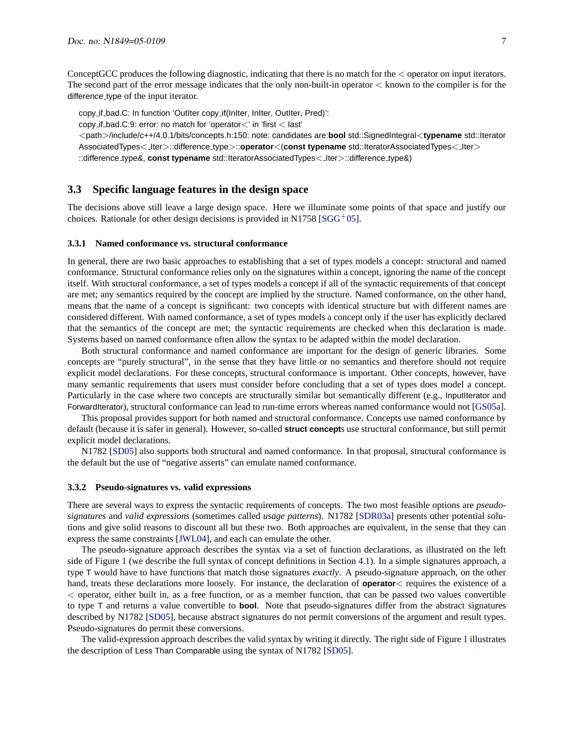ConceptGCC produces the following diagnostic, indicating that there is no match for the < operator on input iterators. The second part of the error message indicates that the only non-built-in operator  $\lt$  known to the compiler is for the difference type of the input iterator.

copy if bad.C: In function 'OutIter copy if(InIter, InIter, OutIter, Pred)':

copy if bad.C:9: error: no match for 'operator<' in 'first < last'

<path>/include/c++/4.0.1/bits/concepts.h:150: note: candidates are:**bool** std::SignedIntegral<**typename** std::Iterator AssociatedTypes< Iter>::difference type>::**operator**<(**const typename** std::IteratorAssociatedTypes< Iter>

::difference type&, **const typename** std::IteratorAssociatedTypes< Iter>::difference type&)

### <span id="page-6-0"></span>**3.3 Specific language features in the design space**

The decisions above still leave a large design space. Here we illuminate some points of that space and justify our choices. Rationale for other design decisions is provided in N1758 [\[SGG](#page-45-0)+05].

#### <span id="page-6-1"></span>**3.3.1 Named conformance vs. structural conformance**

In general, there are two basic approaches to establishing that a set of types models a concept: structural and named conformance. Structural conformance relies only on the signatures within a concept, ignoring the name of the concept itself. With structural conformance, a set of types models a concept if all of the syntactic requirements of that concept are met; any semantics required by the concept are implied by the structure. Named conformance, on the other hand, means that the name of a concept is significant: two concepts with identical structure but with different names are considered different. With named conformance, a set of types models a concept only if the user has explicitly declared that the semantics of the concept are met; the syntactic requirements are checked when this declaration is made. Systems based on named conformance often allow the syntax to be adapted within the model declaration.

Both structural conformance and named conformance are important for the design of generic libraries. Some concepts are "purely structural", in the sense that they have little or no semantics and therefore should not require explicit model declarations. For these concepts, structural conformance is important. Other concepts, however, have many semantic requirements that users must consider before concluding that a set of types does model a concept. Particularly in the case where two concepts are structurally similar but semantically different (e.g., InputIterator and ForwardIterator), structural conformance can lead to run-time errors whereas named conformance would not [\[GS05a\]](#page-44-4).

This proposal provides support for both named and structural conformance. Concepts use named conformance by default (because it is safer in general). However, so-called **struct concept**s use structural conformance, but still permit explicit model declarations.

N1782 [\[SD05\]](#page-45-13) also supports both structural and named conformance. In that proposal, structural conformance is the default but the use of "negative asserts" can emulate named conformance.

#### <span id="page-6-2"></span>**3.3.2 Pseudo-signatures vs. valid expressions**

There are several ways to express the syntactic requirements of concepts. The two most feasible options are *pseudosignatures* and *valid expressions* (sometimes called *usage patterns*). N1782 [\[SDR03a\]](#page-45-2) presents other potential solutions and give solid reasons to discount all but these two. Both approaches are equivalent, in the sense that they can express the same constraints [\[JWL04\]](#page-45-12), and each can emulate the other.

The pseudo-signature approach describes the syntax via a set of function declarations, as illustrated on the left side of Figure [1](#page-7-1) (we describe the full syntax of concept definitions in Section [4.1\)](#page-9-1). In a simple signatures approach, a type T would have to have functions that match those signatures *exactly*. A pseudo-signature approach, on the other hand, treats these declarations more loosely. For instance, the declaration of **operator** quires the existence of a < operator, either built in, as a free function, or as a member function, that can be passed two values convertible to type T and returns a value convertible to **bool**. Note that pseudo-signatures differ from the abstract signatures described by N1782 [\[SD05\]](#page-45-13), because abstract signatures do not permit conversions of the argument and result types. Pseudo-signatures do permit these conversions.

The valid-expression approach describes the valid syntax by writing it directly. The right side of Figure [1](#page-7-1) illustrates the description of Less Than Comparable using the syntax of N1782 [\[SD05\]](#page-45-13).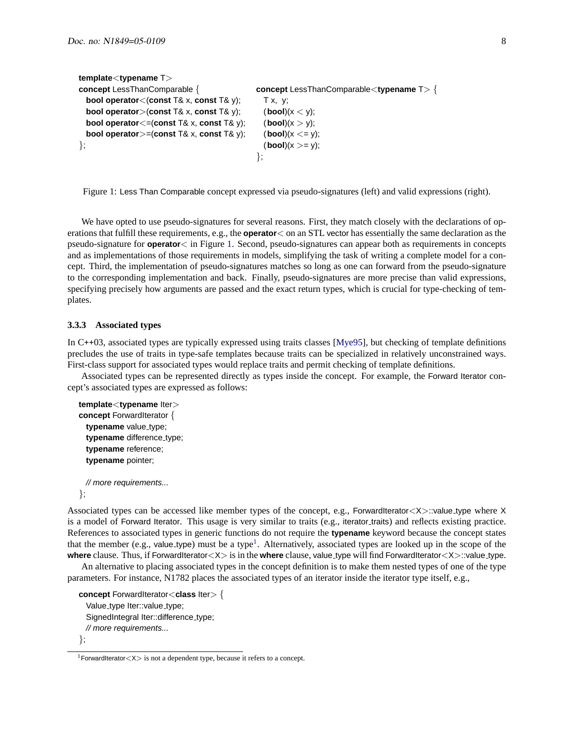```
template<typename T>
concept LessThanComparable { concept LessThanComparable<typename T> {
 bool operator<(const T& x, const T& y); Tx, y;
 bool operator>(const T& x, const T& y); (bool)(x < y);
 bool operator<=(const T& x, const T& y); (bool)(x > y);
 bool operator>=(const T& x, const T& y); (bool)(x <= y);
\}; (bool)(x >= y);
                                    };
```
<span id="page-7-1"></span>Figure 1: Less Than Comparable concept expressed via pseudo-signatures (left) and valid expressions (right).

We have opted to use pseudo-signatures for several reasons. First, they match closely with the declarations of operations that fulfill these requirements, e.g., the **operator**< on an STL vector has essentially the same declaration as the pseudo-signature for **operator**< in Figure [1.](#page-7-1) Second, pseudo-signatures can appear both as requirements in concepts and as implementations of those requirements in models, simplifying the task of writing a complete model for a concept. Third, the implementation of pseudo-signatures matches so long as one can forward from the pseudo-signature to the corresponding implementation and back. Finally, pseudo-signatures are more precise than valid expressions, specifying precisely how arguments are passed and the exact return types, which is crucial for type-checking of templates.

#### <span id="page-7-0"></span>**3.3.3 Associated types**

In C++03, associated types are typically expressed using traits classes [\[Mye95\]](#page-45-14), but checking of template definitions precludes the use of traits in type-safe templates because traits can be specialized in relatively unconstrained ways. First-class support for associated types would replace traits and permit checking of template definitions.

Associated types can be represented directly as types inside the concept. For example, the Forward Iterator concept's associated types are expressed as follows:

```
template<typename Iter>
concept ForwardIterator {
 typename value_type;
 typename difference_type;
 typename reference;
 typename pointer;
```
// more requirements... };

Associated types can be accessed like member types of the concept, e.g., ForwardIterator<X>::value\_type where X is a model of Forward Iterator. This usage is very similar to traits (e.g., iterator traits) and reflects existing practice. References to associated types in generic functions do not require the **typename** keyword because the concept states that the member (e.g., value type) must be a type<sup>[1](#page-7-2)</sup>. Alternatively, associated types are looked up in the scope of the **where** clause. Thus, if ForwardIterator<X> is in the **where** clause, value type will find ForwardIterator<X>::value type.

An alternative to placing associated types in the concept definition is to make them nested types of one of the type parameters. For instance, N1782 places the associated types of an iterator inside the iterator type itself, e.g.,

```
concept ForwardIterator<class Iter> {
  Value_type Iter::value_type;
  SignedIntegral Iter::difference_type;
 // more requirements...
};
```
<span id="page-7-2"></span><sup>&</sup>lt;sup>1</sup>ForwardIterator  $\langle X \rangle$  is not a dependent type, because it refers to a concept.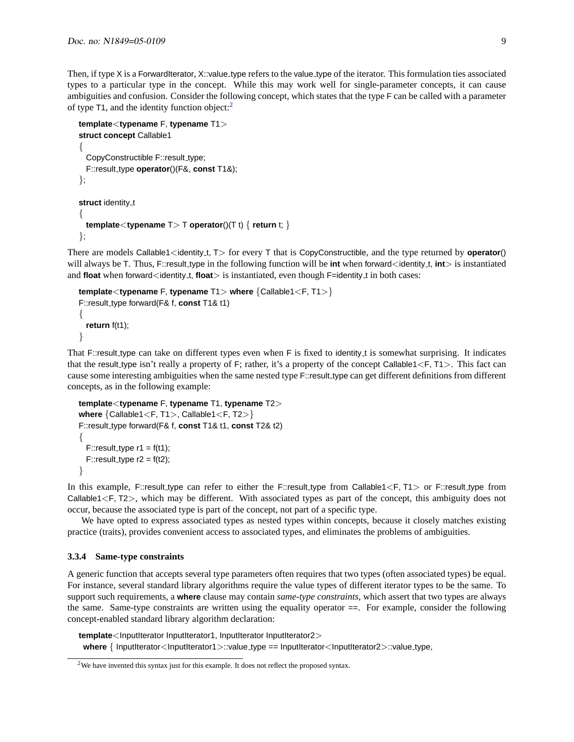Then, if type X is a ForwardIterator, X::value type refers to the value type of the iterator. This formulation ties associated types to a particular type in the concept. While this may work well for single-parameter concepts, it can cause ambiguities and confusion. Consider the following concept, which states that the type F can be called with a parameter of type T1, and the identity function object:[2](#page-8-1)

```
template<typename F, typename T1>
struct concept Callable1
{
  CopyConstructible F::result_type;
  F::result type operator()(F&, const T1&);
};
struct identity_t
{
  template<typename T> T operator()(T t) { return t; }
};
```
There are models Callable1<identity t,  $T$  for every T that is CopyConstructible, and the type returned by **operator**() will always be T. Thus, F::result\_type in the following function will be **int** when forward<identity\_t, **int**> is instantiated and **float** when forward<identity<sub>-t</sub>, **float**> is instantiated, even though F=identity<sub>-t</sub> in both cases:

```
template<typename F, typename T1> where {Callable1<F, T1>}
F::result type forward(F& f, const T1& t1)
{
  return f(t1);
}
```
That F::result type can take on different types even when F is fixed to identity t is somewhat surprising. It indicates that the result type isn't really a property of F; rather, it's a property of the concept Callable1 $\lt$ F, T1 $>$ . This fact can cause some interesting ambiguities when the same nested type F::result type can get different definitions from different concepts, as in the following example:

```
template<typename F, typename T1, typename T2>
where {Callable1<F, T1>, Callable1<F, T2>}
F::result type forward(F& f, const T1& t1, const T2& t2)
{
  F::result_type r1 = f(t1);
  F::result_type r2 = f(t2);
}
```
In this example, F::result type can refer to either the F::result type from Callable1<F, T1> or F::result type from Callable1<F, T2>, which may be different. With associated types as part of the concept, this ambiguity does not occur, because the associated type is part of the concept, not part of a specific type.

We have opted to express associated types as nested types within concepts, because it closely matches existing practice (traits), provides convenient access to associated types, and eliminates the problems of ambiguities.

#### <span id="page-8-0"></span>**3.3.4 Same-type constraints**

A generic function that accepts several type parameters often requires that two types (often associated types) be equal. For instance, several standard library algorithms require the value types of different iterator types to be the same. To support such requirements, a **where** clause may contain *same-type constraints*, which assert that two types are always the same. Same-type constraints are written using the equality operator ==. For example, consider the following concept-enabled standard library algorithm declaration:

template<InputIterator InputIterator1, InputIterator InputIterator2> **where** { InputIterator<InputIterator1>::value\_type == InputIterator<InputIterator2>::value\_type,

<span id="page-8-1"></span><sup>&</sup>lt;sup>2</sup>We have invented this syntax just for this example. It does not reflect the proposed syntax.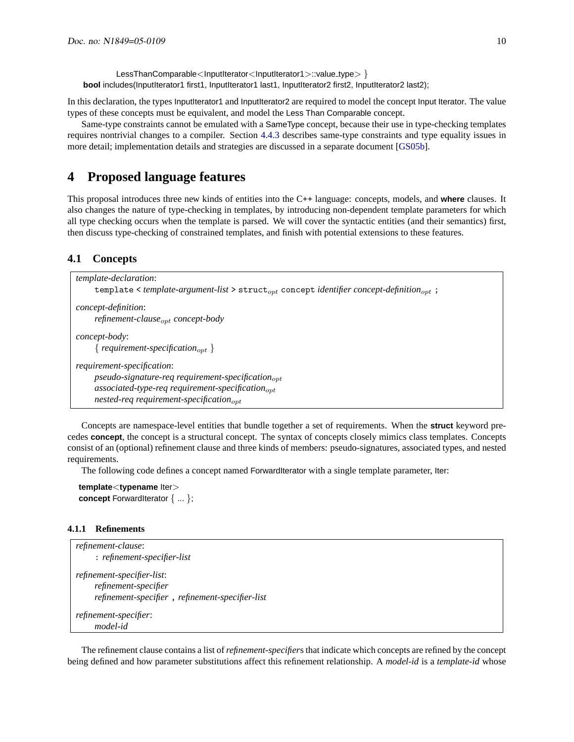LessThanComparable<InputIterator<InputIterator1>::value\_type> } **bool** includes(InputIterator1 first1, InputIterator1 last1, InputIterator2 first2, InputIterator2 last2);

In this declaration, the types InputIterator1 and InputIterator2 are required to model the concept Input Iterator. The value types of these concepts must be equivalent, and model the Less Than Comparable concept.

Same-type constraints cannot be emulated with a SameType concept, because their use in type-checking templates requires nontrivial changes to a compiler. Section [4.4.3](#page-29-0) describes same-type constraints and type equality issues in more detail; implementation details and strategies are discussed in a separate document [\[GS05b\]](#page-45-1).

# <span id="page-9-0"></span>**4 Proposed language features**

This proposal introduces three new kinds of entities into the C++ language: concepts, models, and **where** clauses. It also changes the nature of type-checking in templates, by introducing non-dependent template parameters for which all type checking occurs when the template is parsed. We will cover the syntactic entities (and their semantics) first, then discuss type-checking of constrained templates, and finish with potential extensions to these features.

### <span id="page-9-1"></span>**4.1 Concepts**

| <i>template-declaration:</i>                                                                                               |
|----------------------------------------------------------------------------------------------------------------------------|
| template $\leq$ template-argument-list $\geq$ struct <sub>ort</sub> concept identifier concept-definition <sub>ort</sub> ; |
| <i>concept-definition:</i>                                                                                                 |
| refinement-clause <sub>opt</sub> concept-body                                                                              |
| <i>concept-body:</i>                                                                                                       |
| { requirement-specification <sub>opt</sub> }                                                                               |
| requirement-specification:                                                                                                 |
| $pseudo-signature-reg requirement-specification_{opt}$                                                                     |
| $associated$ -type-req requirement-specification $_{opt}$                                                                  |
| nested-req requirement-specification <sub>opt</sub>                                                                        |
|                                                                                                                            |

Concepts are namespace-level entities that bundle together a set of requirements. When the **struct** keyword precedes **concept**, the concept is a structural concept. The syntax of concepts closely mimics class templates. Concepts consist of an (optional) refinement clause and three kinds of members: pseudo-signatures, associated types, and nested requirements.

The following code defines a concept named ForwardIterator with a single template parameter, Iter:

```
template<typename Iter>
concept ForwardIterator \{ \dots \};
```
#### <span id="page-9-2"></span>**4.1.1 Refinements**

```
refinement-clause:
     : refinement-specifier-list
refinement-specifier-list:
     refinement-specifier
     refinement-specifier , refinement-specifier-list
refinement-specifier:
     model-id
```
The refinement clause contains a list of*refinement-specifier*s that indicate which concepts are refined by the concept being defined and how parameter substitutions affect this refinement relationship. A *model-id* is a *template-id* whose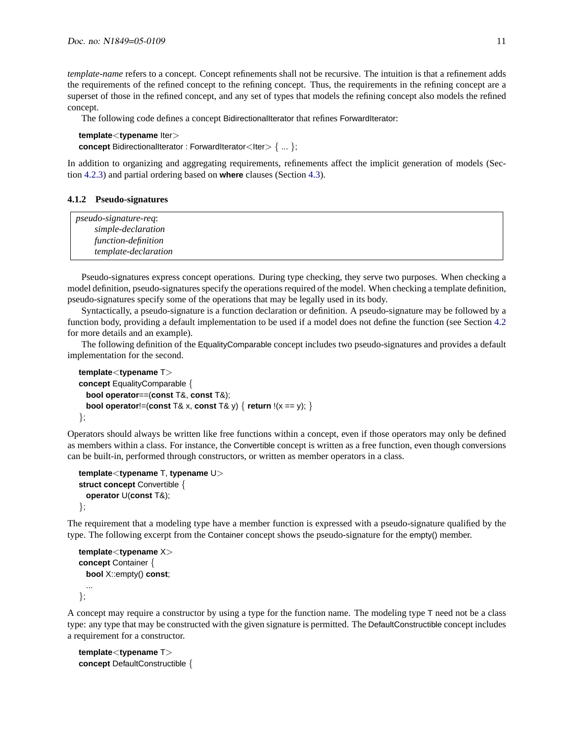*template-name* refers to a concept. Concept refinements shall not be recursive. The intuition is that a refinement adds the requirements of the refined concept to the refining concept. Thus, the requirements in the refining concept are a superset of those in the refined concept, and any set of types that models the refining concept also models the refined concept.

The following code defines a concept BidirectionalIterator that refines ForwardIterator:

```
template<typename Iter>
concept BidirectionalIterator : ForwardIterator<Iter> { ... };
```
In addition to organizing and aggregating requirements, refinements affect the implicit generation of models (Section [4.2.3\)](#page-17-0) and partial ordering based on **where** clauses (Section [4.3\)](#page-20-0).

#### <span id="page-10-0"></span>**4.1.2 Pseudo-signatures**

| <i>pseudo-signature-req:</i> |  |
|------------------------------|--|
| simple-declaration           |  |
| function-definition          |  |
| <i>template-declaration</i>  |  |

Pseudo-signatures express concept operations. During type checking, they serve two purposes. When checking a model definition, pseudo-signatures specify the operations required of the model. When checking a template definition, pseudo-signatures specify some of the operations that may be legally used in its body.

Syntactically, a pseudo-signature is a function declaration or definition. A pseudo-signature may be followed by a function body, providing a default implementation to be used if a model does not define the function (see Section [4.2](#page-12-1) for more details and an example).

The following definition of the EqualityComparable concept includes two pseudo-signatures and provides a default implementation for the second.

```
template<typename T>
concept EqualityComparable {
 bool operator==(const T&, const T&);
 bool operator!=(const T& x, const T& y) { return !(x == y); }
};
```
Operators should always be written like free functions within a concept, even if those operators may only be defined as members within a class. For instance, the Convertible concept is written as a free function, even though conversions can be built-in, performed through constructors, or written as member operators in a class.

```
template<typename T, typename U>
struct concept Convertible {
 operator U(const T&);
};
```
The requirement that a modeling type have a member function is expressed with a pseudo-signature qualified by the type. The following excerpt from the Container concept shows the pseudo-signature for the empty() member.

```
template<typename X>
concept Container {
  bool X::empty() const;
  ...
};
```
A concept may require a constructor by using a type for the function name. The modeling type T need not be a class type: any type that may be constructed with the given signature is permitted. The DefaultConstructible concept includes a requirement for a constructor.

```
template<typename T>
concept DefaultConstructible {
```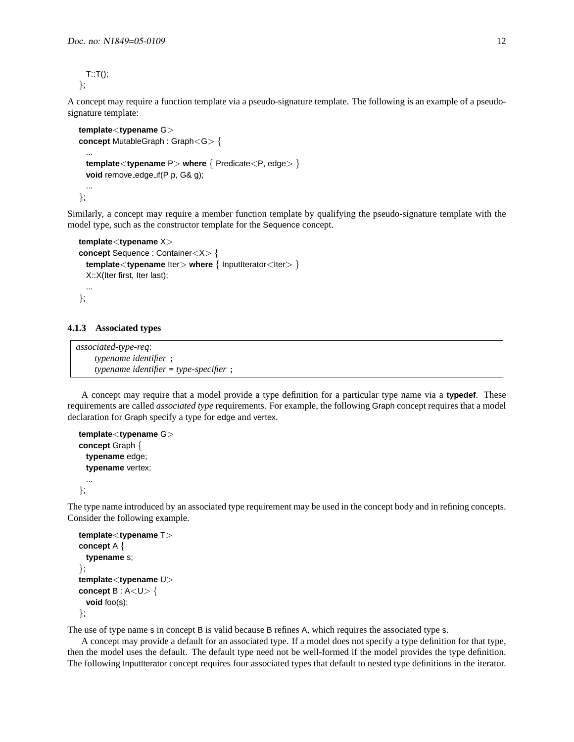$T: T()$ ; };

A concept may require a function template via a pseudo-signature template. The following is an example of a pseudosignature template:

```
template<typename G>
concept MutableGraph : Graph<G> {
 ...
 template<typename P> where { Predicate<P, edge> }
 void remove_edge_if(P p, G& g);
 ...
};
```
Similarly, a concept may require a member function template by qualifying the pseudo-signature template with the model type, such as the constructor template for the Sequence concept.

```
template<typename X>
concept Sequence : Container<X> {
  template<typename lter> where { lnputIterator<Iter> }
 X::X(Iter first, Iter last);
 ...
};
```
#### <span id="page-11-0"></span>**4.1.3 Associated types**

*associated-type-req*: *typename identifier* ; *typename identifier* = *type-specifier* ;

A concept may require that a model provide a type definition for a particular type name via a **typedef**. These requirements are called *associated type* requirements. For example, the following Graph concept requires that a model declaration for Graph specify a type for edge and vertex.

```
template<typename G>
concept Graph {
 typename edge;
 typename vertex;
 ...
};
```
The type name introduced by an associated type requirement may be used in the concept body and in refining concepts. Consider the following example.

```
template<typename T>
concept A {
 typename s;
};
template<typename U>
concept B: A < U > \{void foo(s);
};
```
The use of type name s in concept B is valid because B refines A, which requires the associated type s.

A concept may provide a default for an associated type. If a model does not specify a type definition for that type, then the model uses the default. The default type need not be well-formed if the model provides the type definition. The following InputIterator concept requires four associated types that default to nested type definitions in the iterator.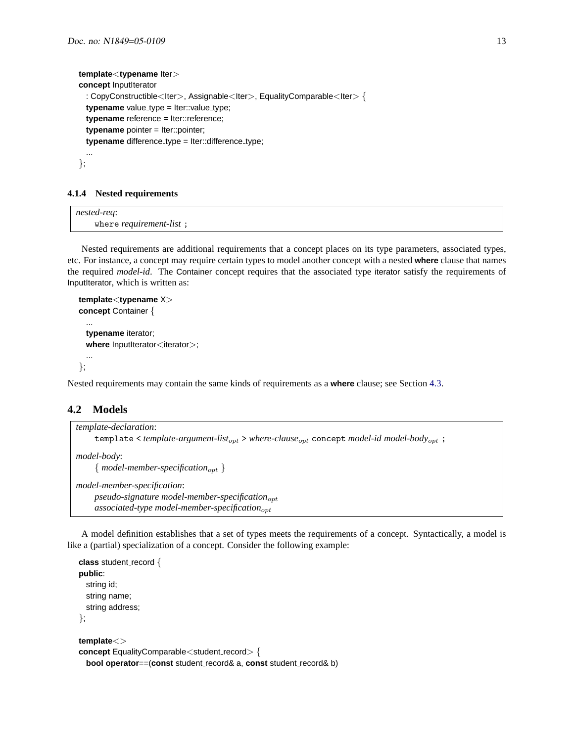```
template<typename Iter>
concept InputIterator
  : CopyConstructible<Iter>, Assignable<Iter>, EqualityComparable<Iter>{
  typename value_type = lter::value_type;
  typename reference = Iter::reference;
  typename pointer = Iter::pointer;
  typename difference_type = lter::difference_type;
  ...
};
```
#### <span id="page-12-0"></span>**4.1.4 Nested requirements**

*nested-req*: where *requirement-list* ;

Nested requirements are additional requirements that a concept places on its type parameters, associated types, etc. For instance, a concept may require certain types to model another concept with a nested **where** clause that names the required *model-id*. The Container concept requires that the associated type iterator satisfy the requirements of InputIterator, which is written as:

```
template<typename X>
concept Container {
  ...
 typename iterator;
  where InputIterator<iterator>;
  ...
};
```
Nested requirements may contain the same kinds of requirements as a **where** clause; see Section [4.3.](#page-20-0)

### <span id="page-12-1"></span>**4.2 Models**

```
template-declaration:
     template < template-argument-list<sub>opt</sub> > where-clause<sub>opt</sub> concept model-id model-body<sub>opt</sub>;
model-body:
     \{ model-member-specification<sub>opt</sub> \}model-member-specification:
     pseudo-signature model-member-specification<sub>opt</sub>
     associated-type model-member-specification<sub>opt</sub>
```
A model definition establishes that a set of types meets the requirements of a concept. Syntactically, a model is like a (partial) specialization of a concept. Consider the following example:

```
class student_record {
public:
  string id;
  string name;
  string address;
};
template<>
concept EqualityComparable<student_record> {
  bool operator==(const student record& a, const student record& b)
```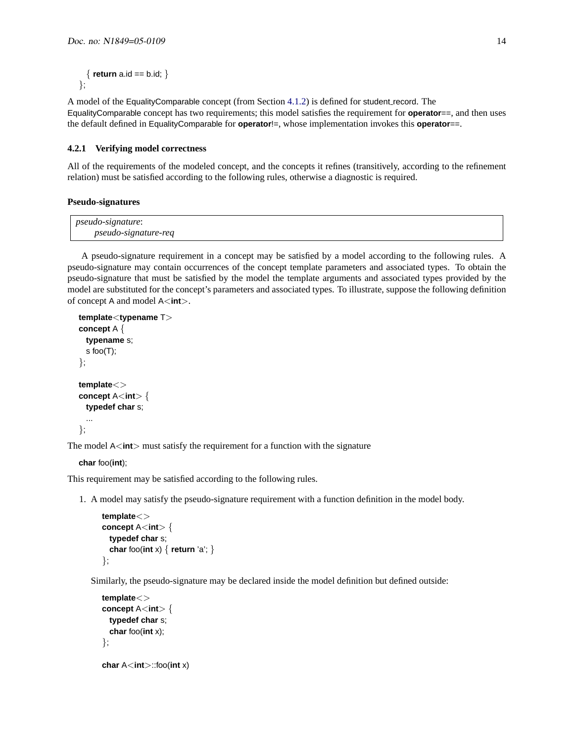```
\{ return a.id == b.id; \}};
```
A model of the EqualityComparable concept (from Section [4.1.2\)](#page-10-0) is defined for student record. The EqualityComparable concept has two requirements; this model satisfies the requirement for **operator**==, and then uses the default defined in EqualityComparable for **operator**!=, whose implementation invokes this **operator**==.

### <span id="page-13-0"></span>**4.2.1 Verifying model correctness**

All of the requirements of the modeled concept, and the concepts it refines (transitively, according to the refinement relation) must be satisfied according to the following rules, otherwise a diagnostic is required.

#### **Pseudo-signatures**

| <i>pseudo-signature</i> :   |  |
|-----------------------------|--|
| <i>pseudo-signature-req</i> |  |

A pseudo-signature requirement in a concept may be satisfied by a model according to the following rules. A pseudo-signature may contain occurrences of the concept template parameters and associated types. To obtain the pseudo-signature that must be satisfied by the model the template arguments and associated types provided by the model are substituted for the concept's parameters and associated types. To illustrate, suppose the following definition of concept A and model A<**int**>.

```
template<typename T>
concept A {
 typename s;
 s foo(T);
};
template<>
concept A<int> {
 typedef char s;
 ...
};
```
The model A<int> must satisfy the requirement for a function with the signature

**char** foo(**int**);

This requirement may be satisfied according to the following rules.

1. A model may satisfy the pseudo-signature requirement with a function definition in the model body.

```
template<>
concept A<int> {
 typedef char s;
  char foo(int x) { return 'a'; }
};
```
Similarly, the pseudo-signature may be declared inside the model definition but defined outside:

```
template<>
concept A<int> {
 typedef char s;
 char foo(int x);
};
char A<int>::foo(int x)
```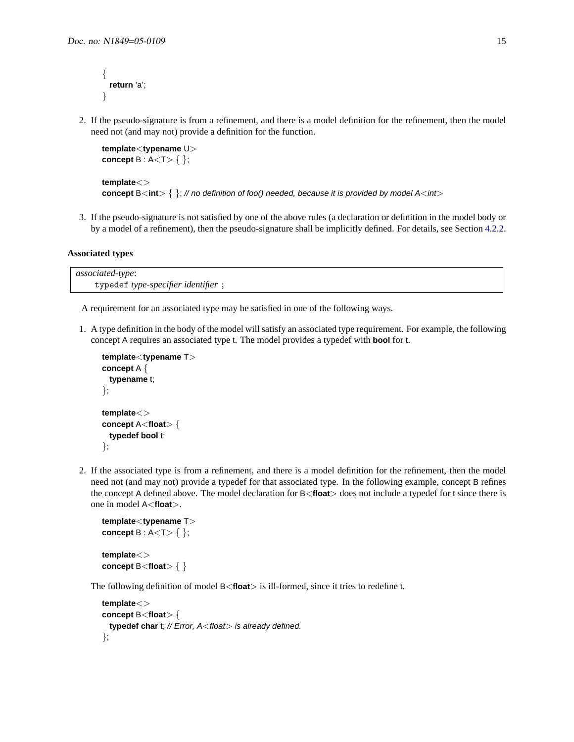```
{
  return 'a';
}
```
2. If the pseudo-signature is from a refinement, and there is a model definition for the refinement, then the model need not (and may not) provide a definition for the function.

```
template<typename U>
concept B : A < T > \{ \};
```

```
template<>
concept B<int> \{ \}; // no definition of foo() needed, because it is provided by model A<int>
```
3. If the pseudo-signature is not satisfied by one of the above rules (a declaration or definition in the model body or by a model of a refinement), then the pseudo-signature shall be implicitly defined. For details, see Section [4.2.2.](#page-15-0)

### **Associated types**

*associated-type*: typedef *type-specifier identifier* ;

A requirement for an associated type may be satisfied in one of the following ways.

1. A type definition in the body of the model will satisfy an associated type requirement. For example, the following concept A requires an associated type t. The model provides a typedef with **bool** for t.

```
template<typename T>
concept A {
 typename t;
};
template<>
concept A<float> {
 typedef bool t;
```

```
};
```
2. If the associated type is from a refinement, and there is a model definition for the refinement, then the model need not (and may not) provide a typedef for that associated type. In the following example, concept B refines the concept A defined above. The model declaration for B<**float**> does not include a typedef for t since there is one in model A<**float**>.

```
template<typename T>
concept B : A lt T gt { };
template<>
concept B<float> { }
```
The following definition of model B<**float**> is ill-formed, since it tries to redefine t.

```
template<>
concept B<float> {
 typedef char t; // Error, A<float> is already defined.
};
```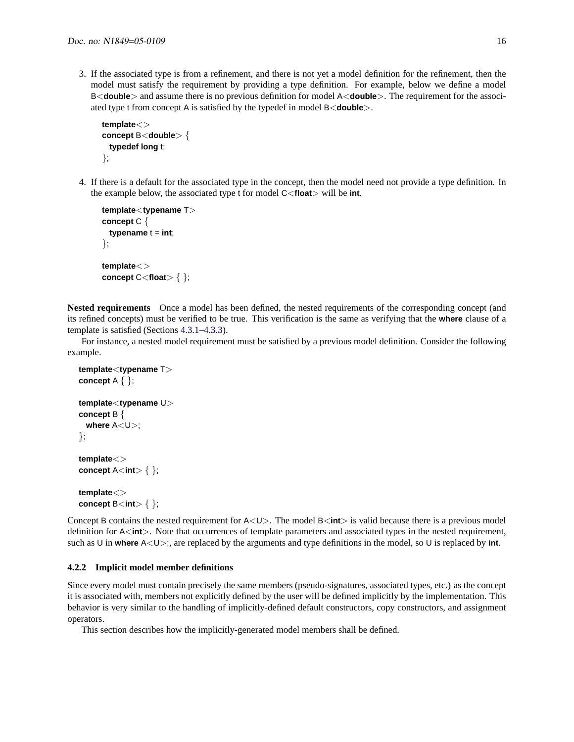3. If the associated type is from a refinement, and there is not yet a model definition for the refinement, then the model must satisfy the requirement by providing a type definition. For example, below we define a model B<**double**> and assume there is no previous definition for model A<**double**>. The requirement for the associated type t from concept A is satisfied by the typedef in model B<**double**>.

```
template<>
concept B<double> {
 typedef long t;
};
```
4. If there is a default for the associated type in the concept, then the model need not provide a type definition. In the example below, the associated type t for model C<**float**> will be **int**.

```
template<typename T>
concept C {
 \tt typename t = int;};
template<>
concept C<float> { };
```
**Nested requirements** Once a model has been defined, the nested requirements of the corresponding concept (and its refined concepts) must be verified to be true. This verification is the same as verifying that the **where** clause of a template is satisfied (Sections [4.3.1–](#page-21-0)[4.3.3\)](#page-22-1).

For instance, a nested model requirement must be satisfied by a previous model definition. Consider the following example.

```
template<typename T>
concept A { };
template<typename U>
concept B {
 where A<U>;
};
template<>
concept A<int> { };
template<>
concept B<int> { };
```
Concept B contains the nested requirement for A<U>. The model B<int> is valid because there is a previous model definition for A<**int**>. Note that occurrences of template parameters and associated types in the nested requirement, such as U in **where** A<U>;, are replaced by the arguments and type definitions in the model, so U is replaced by **int**.

#### <span id="page-15-0"></span>**4.2.2 Implicit model member definitions**

Since every model must contain precisely the same members (pseudo-signatures, associated types, etc.) as the concept it is associated with, members not explicitly defined by the user will be defined implicitly by the implementation. This behavior is very similar to the handling of implicitly-defined default constructors, copy constructors, and assignment operators.

This section describes how the implicitly-generated model members shall be defined.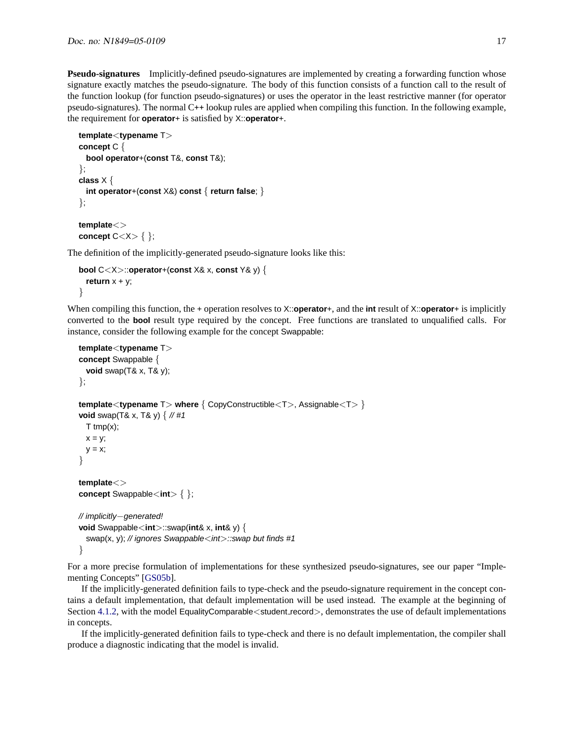**Pseudo-signatures** Implicitly-defined pseudo-signatures are implemented by creating a forwarding function whose signature exactly matches the pseudo-signature. The body of this function consists of a function call to the result of the function lookup (for function pseudo-signatures) or uses the operator in the least restrictive manner (for operator pseudo-signatures). The normal C++ lookup rules are applied when compiling this function. In the following example, the requirement for **operator**+ is satisfied by X::**operator**+.

```
template<typename T>
concept C {
 bool operator+(const T&, const T&);
};
class X {
 int operator+(const X&) const { return false; }
};
template<>
concept C<X> { };
```
The definition of the implicitly-generated pseudo-signature looks like this:

```
bool C<X>::operator+(const X& x, const Y& y) {
  return x + y;
}
```
When compiling this function, the + operation resolves to X::**operator**+, and the **int** result of X::**operator**+ is implicitly converted to the **bool** result type required by the concept. Free functions are translated to unqualified calls. For instance, consider the following example for the concept Swappable:

```
template<typename T>
concept Swappable {
 void swap(T& x, T& y);
};
template<typename T> where { CopyConstructible<T>, Assignable<T> }
void swap(T& x, T& y) { // #1
 T tmp(x);
 x = y;
 y = x;
}
template<>
concept Swappable<int> { };
// implicitly−generated!
void Swappable<int>::swap(int& x, int& y) {
 swap(x, y); // ignores Swappable\lt int:swap but finds #1
}
```
For a more precise formulation of implementations for these synthesized pseudo-signatures, see our paper "Implementing Concepts" [\[GS05b\]](#page-45-1).

If the implicitly-generated definition fails to type-check and the pseudo-signature requirement in the concept contains a default implementation, that default implementation will be used instead. The example at the beginning of Section [4.1.2,](#page-10-0) with the model EqualityComparable<student\_record>, demonstrates the use of default implementations in concepts.

If the implicitly-generated definition fails to type-check and there is no default implementation, the compiler shall produce a diagnostic indicating that the model is invalid.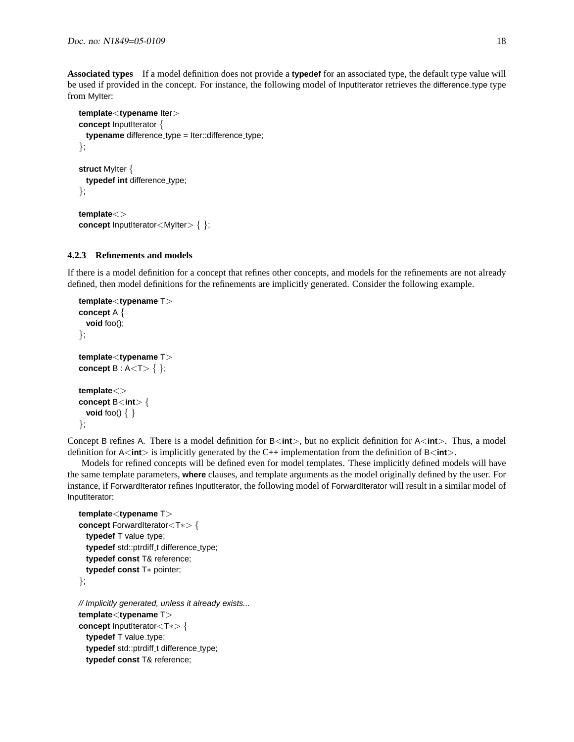**Associated types** If a model definition does not provide a **typedef** for an associated type, the default type value will be used if provided in the concept. For instance, the following model of InputIterator retrieves the difference type type from MyIter:

```
template<typename Iter>
concept InputIterator {
  typename difference_type = lter::difference_type;
};
struct MyIter {
  typedef int difference_type;
};
template<>
concept InputIterator<MyIter> { };
```
#### <span id="page-17-0"></span>**4.2.3 Refinements and models**

If there is a model definition for a concept that refines other concepts, and models for the refinements are not already defined, then model definitions for the refinements are implicitly generated. Consider the following example.

```
template<typename T>
concept A {
 void foo();
};
template<typename T>
concept B : A lt T gt { };
template<>
concept B<int> {
 void foo() { }
};
```
Concept B refines A. There is a model definition for B<**int**>, but no explicit definition for A<**int**>. Thus, a model definition for A<**int**> is implicitly generated by the C++ implementation from the definition of B<**int**>.

Models for refined concepts will be defined even for model templates. These implicitly defined models will have the same template parameters, **where** clauses, and template arguments as the model originally defined by the user. For instance, if ForwardIterator refines InputIterator, the following model of ForwardIterator will result in a similar model of InputIterator:

```
template<typename T>
concept ForwardIterator<T∗> {
  typedef T value_type;
  typedef std::ptrdiff<sub>-t</sub> difference<sub>-type</sub>;
  typedef const T& reference;
  typedef const T∗ pointer;
};
// Implicitly generated, unless it already exists...
template<typename T>
concept InputIterator<T∗> {
  typedef T value_type;
  typedef std::ptrdiff_t difference_type;
```

```
typedef const T& reference;
```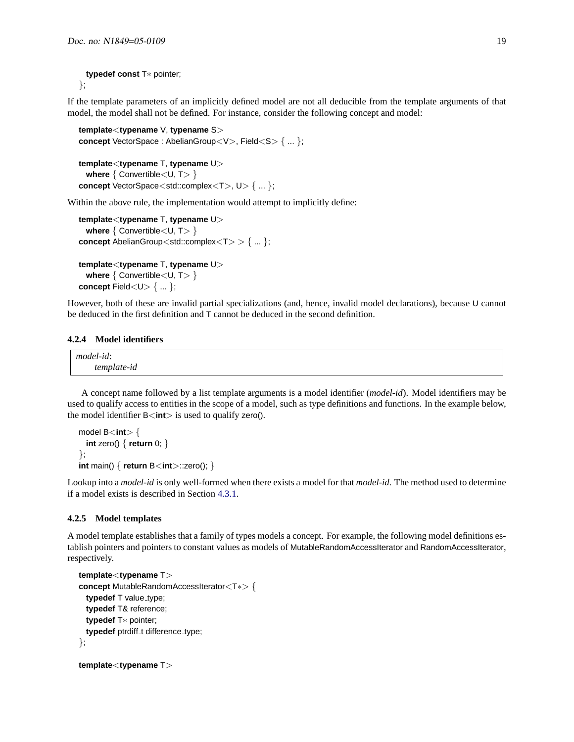#### **typedef const** T∗ pointer; };

If the template parameters of an implicitly defined model are not all deducible from the template arguments of that model, the model shall not be defined. For instance, consider the following concept and model:

```
template<typename V, typename S>
concept VectorSpace : AbelianGroup<V>, Field<S> { ... };
template<typename T, typename U>
 where \{ Convertible \lt U, T> \}concept VectorSpace<std::complex<T>, U> { ... };
```
Within the above rule, the implementation would attempt to implicitly define:

```
template<typename T, typename U>
 where { Convertible < U, T > }
concept AbelianGroup < std::complex < T > > { ... };
```

```
template<typename T, typename U>
 where { Convertible < U, T > }
concept Field<U>\{ ... \};
```
However, both of these are invalid partial specializations (and, hence, invalid model declarations), because U cannot be deduced in the first definition and T cannot be deduced in the second definition.

### <span id="page-18-0"></span>**4.2.4 Model identifiers**

| model-id:   |  |  |
|-------------|--|--|
| template-id |  |  |

A concept name followed by a list template arguments is a model identifier (*model-id*). Model identifiers may be used to qualify access to entities in the scope of a model, such as type definitions and functions. In the example below, the model identifier B<**int**> is used to qualify zero().

```
model B<int> {
  int zero() { return 0; }
};
int main() { return B<int>::zero(); }
```
Lookup into a *model-id* is only well-formed when there exists a model for that *model-id*. The method used to determine if a model exists is described in Section [4.3.1.](#page-21-0)

#### <span id="page-18-1"></span>**4.2.5 Model templates**

A model template establishes that a family of types models a concept. For example, the following model definitions establish pointers and pointers to constant values as models of MutableRandomAccessIterator and RandomAccessIterator, respectively.

```
template<typename T>
concept MutableRandomAccessIterator<T∗> {
  typedef T value_type;
  typedef T& reference;
  typedef T∗ pointer;
  typedef ptrdiff_t difference_type;
};
```

```
template<typename T>
```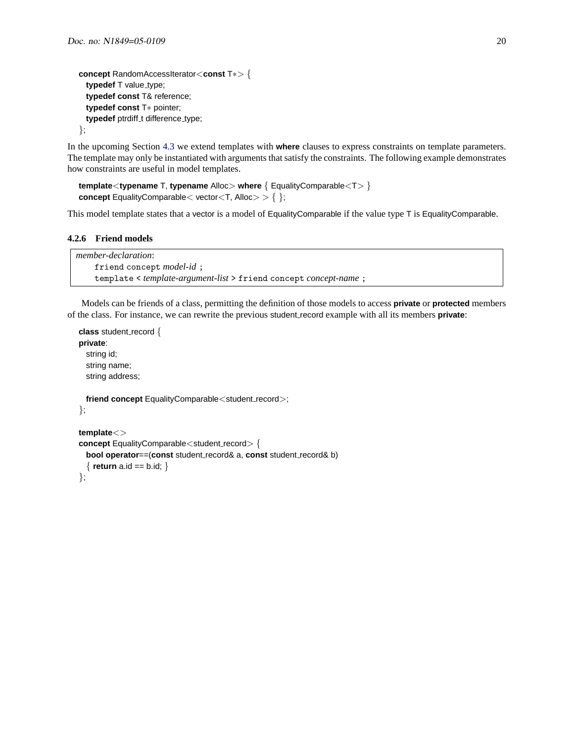```
concept RandomAccessIterator<const T∗> {
  typedef T value_type;
  typedef const T& reference;
  typedef const T∗ pointer;
  typedef ptrdiff<sub>-t</sub> difference<sub>-type;</sub>
};
```
In the upcoming Section [4.3](#page-20-0) we extend templates with **where** clauses to express constraints on template parameters. The template may only be instantiated with arguments that satisfy the constraints. The following example demonstrates how constraints are useful in model templates.

```
template<typename T, typename Alloc> where { EqualityComparable<T> }
concept EqualityComparable \lt vector\ltT, Alloc\gt \geq \{ \};
```
This model template states that a vector is a model of EqualityComparable if the value type T is EqualityComparable.

#### <span id="page-19-0"></span>**4.2.6 Friend models**

```
member-declaration:
    friend concept model-id ;
    template < template-argument-list > friend concept concept-name ;
```
Models can be friends of a class, permitting the definition of those models to access **private** or **protected** members of the class. For instance, we can rewrite the previous student record example with all its members **private**:

```
class student_record {
private:
  string id;
  string name;
  string address;
 friend concept EqualityComparable<student_record>;
};
template<>
concept EqualityComparable<student_record> {
  bool operator==(const student record& a, const student record& b)
  { return a.id == b.id; }
```
};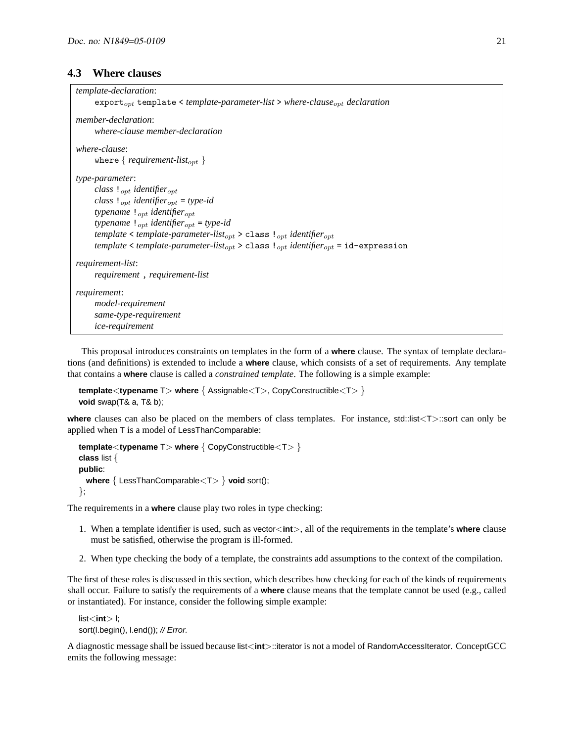# <span id="page-20-0"></span>**4.3 Where clauses**

```
template-declaration:
     exportopt template < template-parameter-list > where-clauseopt declaration
member-declaration:
     where-clause member-declaration
where-clause:
     where \{ requirement-list<sub>opt</sub> \}type-parameter:
     class !opt identifieropt
     class !opt identifieropt = type-id
     typename ! <sub>opt</sub> identifier<sub>opt</sub>
     typename !opt identifieropt = type-id
     template < template-parameter-list<sub>opt</sub> > class !<sub>opt</sub> identifier<sub>opt</sub>
     template < template-parameter-list<sub>opt</sub> > class !_{opt} identifier<sub>opt</sub> = id-expression
requirement-list:
     requirement , requirement-list
requirement:
     model-requirement
     same-type-requirement
     ice-requirement
```
This proposal introduces constraints on templates in the form of a **where** clause. The syntax of template declarations (and definitions) is extended to include a **where** clause, which consists of a set of requirements. Any template that contains a **where** clause is called a *constrained template*. The following is a simple example:

```
template<typename T> where { Assignable<T>, CopyConstructible<T> }
void swap(T& a, T& b);
```
**where** clauses can also be placed on the members of class templates. For instance, std::list<T>::sort can only be applied when T is a model of LessThanComparable:

```
template<typename T> where { CopyConstructible<T> }
class list {
public:
 where { LessThanComparable<T> } void sort();
};
```
The requirements in a **where** clause play two roles in type checking:

- 1. When a template identifier is used, such as vector<**int**>, all of the requirements in the template's **where** clause must be satisfied, otherwise the program is ill-formed.
- 2. When type checking the body of a template, the constraints add assumptions to the context of the compilation.

The first of these roles is discussed in this section, which describes how checking for each of the kinds of requirements shall occur. Failure to satisfy the requirements of a **where** clause means that the template cannot be used (e.g., called or instantiated). For instance, consider the following simple example:

```
list<int> l;
sort(l.begin(), l.end()); // Error.
```
A diagnostic message shall be issued because list<**int**>::iterator is not a model of RandomAccessIterator. ConceptGCC emits the following message: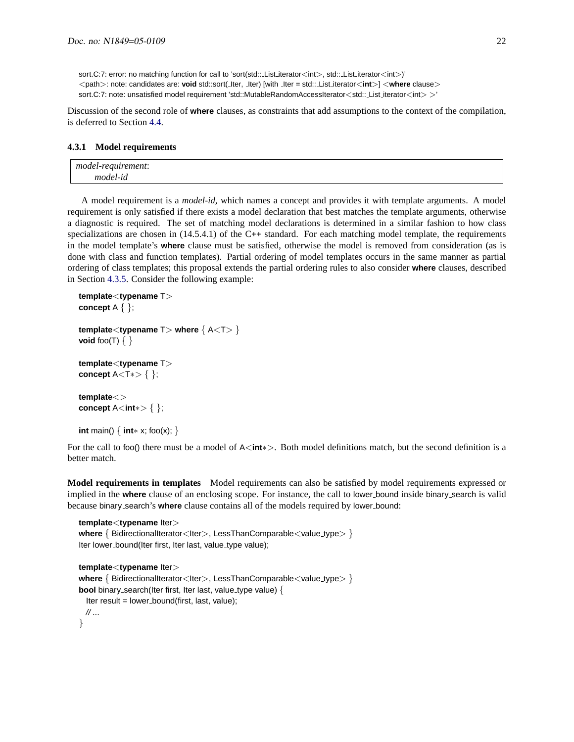Discussion of the second role of **where** clauses, as constraints that add assumptions to the context of the compilation, is deferred to Section [4.4.](#page-25-0)

#### <span id="page-21-0"></span>**4.3.1 Model requirements**

| model-requirement: |  |  |
|--------------------|--|--|
| model-id           |  |  |

A model requirement is a *model-id*, which names a concept and provides it with template arguments. A model requirement is only satisfied if there exists a model declaration that best matches the template arguments, otherwise a diagnostic is required. The set of matching model declarations is determined in a similar fashion to how class specializations are chosen in  $(14.5.4.1)$  of the C++ standard. For each matching model template, the requirements in the model template's **where** clause must be satisfied, otherwise the model is removed from consideration (as is done with class and function templates). Partial ordering of model templates occurs in the same manner as partial ordering of class templates; this proposal extends the partial ordering rules to also consider **where** clauses, described in Section [4.3.5.](#page-23-1) Consider the following example:

```
template<typename T>
concept A { };
template<typename T> where { A<T> }
void foo(T) \{ \}template<typename T>
concept A<T∗> { };
template<>
concept A<int∗> { };
int main() { int∗ x; foo(x); }
```
For the call to foo() there must be a model of A<**int**∗>. Both model definitions match, but the second definition is a better match.

**Model requirements in templates** Model requirements can also be satisfied by model requirements expressed or implied in the where clause of an enclosing scope. For instance, the call to lower bound inside binary search is valid because binary search's **where** clause contains all of the models required by lower bound:

```
template<typename Iter>
where { BidirectionalIterator<Iter>, LessThanComparable<value_type> }
Iter lower_bound(Iter first, Iter last, value_type value);
template<typename Iter>
where { BidirectionalIterator<Iter>, LessThanComparable<value_type> }
bool binary_search(Iter first, Iter last, value_type value) {
  Iter result = lower_bound(first, last, value);
  // ...
}
```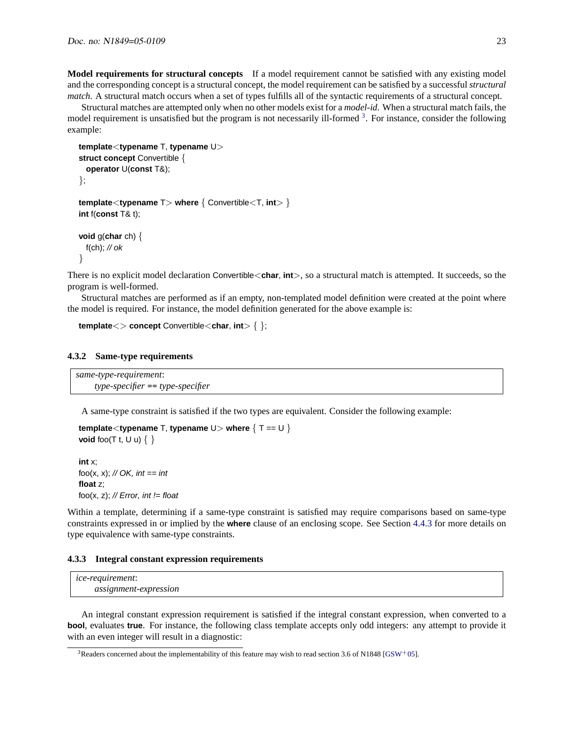**Model requirements for structural concepts** If a model requirement cannot be satisfied with any existing model and the corresponding concept is a structural concept, the model requirement can be satisfied by a successful *structural match*. A structural match occurs when a set of types fulfills all of the syntactic requirements of a structural concept.

Structural matches are attempted only when no other models exist for a *model-id*. When a structural match fails, the model requirement is unsatisfied but the program is not necessarily ill-formed <sup>[3](#page-22-2)</sup>. For instance, consider the following example:

```
template<typename T, typename U>
struct concept Convertible {
 operator U(const T&);
};
template<typename T> where { Convertible<T, int> }
int f(const T& t);
void g(char ch) {
 f(ch); // ok
}
```
There is no explicit model declaration Convertible<**char**, **int**>, so a structural match is attempted. It succeeds, so the program is well-formed.

Structural matches are performed as if an empty, non-templated model definition were created at the point where the model is required. For instance, the model definition generated for the above example is:

```
template<> concept Convertible<char, int> { };
```
#### <span id="page-22-0"></span>**4.3.2 Same-type requirements**

*same-type-requirement*: *type-specifier* == *type-specifier*

A same-type constraint is satisfied if the two types are equivalent. Consider the following example:

```
template<typename T, typename U> where { T == U }
void foo(T t, U u) \{ \}int x;
foo(x, x); \mathcal N OK, int == int
float z;
```
foo(x, z); // Error, int  $!=$  float

Within a template, determining if a same-type constraint is satisfied may require comparisons based on same-type constraints expressed in or implied by the **where** clause of an enclosing scope. See Section [4.4.3](#page-29-0) for more details on type equivalence with same-type constraints.

#### <span id="page-22-1"></span>**4.3.3 Integral constant expression requirements**

| <i>ice-requirement:</i> |  |  |
|-------------------------|--|--|
| assignment-expression   |  |  |

An integral constant expression requirement is satisfied if the integral constant expression, when converted to a **bool**, evaluates **true**. For instance, the following class template accepts only odd integers: any attempt to provide it with an even integer will result in a diagnostic:

<span id="page-22-2"></span><sup>3</sup>Readers concerned about the implementability of this feature may wish to read section 3.6 of N1848 [\[GSW](#page-45-15)+05].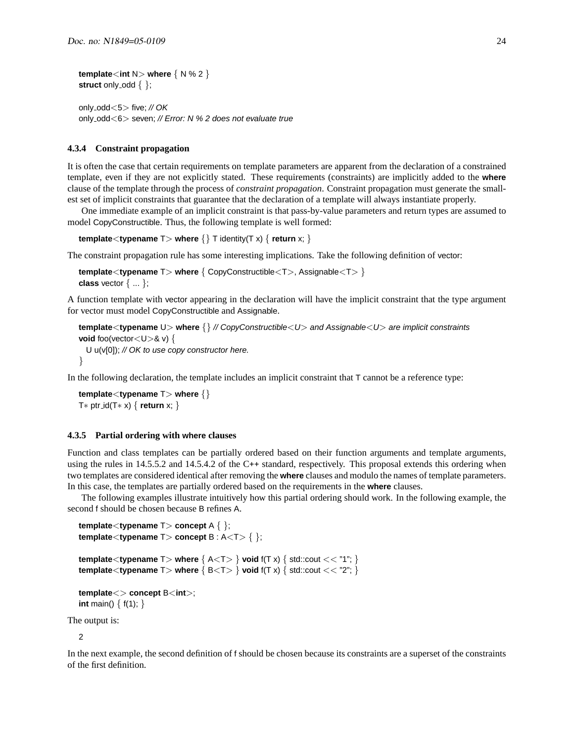```
template<int N> where { N % 2 }
struct only odd \{\};
```
only odd<5> five; // OK only odd<6> seven; // Error: N % 2 does not evaluate true

#### <span id="page-23-0"></span>**4.3.4 Constraint propagation**

It is often the case that certain requirements on template parameters are apparent from the declaration of a constrained template, even if they are not explicitly stated. These requirements (constraints) are implicitly added to the **where** clause of the template through the process of *constraint propagation*. Constraint propagation must generate the smallest set of implicit constraints that guarantee that the declaration of a template will always instantiate properly.

One immediate example of an implicit constraint is that pass-by-value parameters and return types are assumed to model CopyConstructible. Thus, the following template is well formed:

```
template<typename T> where \{\} T identity(T x) \{ return x; \}
```
The constraint propagation rule has some interesting implications. Take the following definition of vector:

```
template<typename T> where { CopyConstructible<T>, Assignable<T> }
class vector { ... };
```
A function template with vector appearing in the declaration will have the implicit constraint that the type argument for vector must model CopyConstructible and Assignable.

```
template<typename U> where {} // CopyConstructible<U> and Assignable<U> are implicit constraints
void foo(vector<U>& v) {
  U u(v[0]); // OK to use copy constructor here.
}
```
In the following declaration, the template includes an implicit constraint that T cannot be a reference type:

<span id="page-23-1"></span>**template**<**typename** T> **where** {} T∗ ptr id(T∗ x) { **return** x; }

#### **4.3.5 Partial ordering with where clauses**

Function and class templates can be partially ordered based on their function arguments and template arguments, using the rules in 14.5.5.2 and 14.5.4.2 of the C++ standard, respectively. This proposal extends this ordering when two templates are considered identical after removing the **where** clauses and modulo the names of template parameters. In this case, the templates are partially ordered based on the requirements in the **where** clauses.

The following examples illustrate intuitively how this partial ordering should work. In the following example, the second f should be chosen because B refines A.

```
template<typename T> concept A { };
template<typename T> concept B : A<T> { };
template<typename T> where \{ A<T> \} void f(T x) \{ std::cout << "1"; \}template<typename T> where \{ B < T> \} void f(T x) \{ std::count < r^2 \}
```

```
template<> concept B<int>;
int main() { f(1); }
```
The output is:

 $\mathfrak{p}$ 

In the next example, the second definition of f should be chosen because its constraints are a superset of the constraints of the first definition.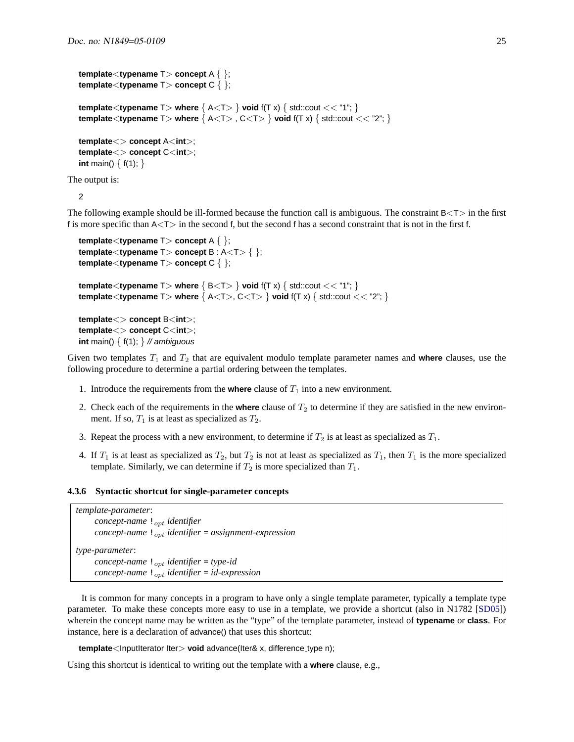```
template<typename T> concept A { };
template<typename T> concept C { };
template<typename T> where \{ A<T> \} void f(T x) \{ std::cout << "1"; \}template<typename T> where { A<T> , C<T> } void f(T x) { std::cout << "2"; }
template<> concept A<int>;
template<> concept C<int>;
int main() { f(1); }
```
The output is:

2

The following example should be ill-formed because the function call is ambiguous. The constraint  $B < T$  in the first f is more specific than  $A < T$  in the second f, but the second f has a second constraint that is not in the first f.

```
template<typename T> concept A { };
template<typename T> concept B : A<T> { };
template<typename T> concept C { };
template<typename T> where \{ B < T> \} void f(T x) \{ \text{std::count} << "1"; \}template<typename T> where { A<T>, C<T> } void f(T x) { std::cout << "2"; }
template<> concept B<int>;
template<> concept C<int>;
int main() \{ f(1); \} // ambiguous
```
Given two templates  $T_1$  and  $T_2$  that are equivalent modulo template parameter names and **where** clauses, use the following procedure to determine a partial ordering between the templates.

- 1. Introduce the requirements from the **where** clause of  $T_1$  into a new environment.
- 2. Check each of the requirements in the **where** clause of  $T_2$  to determine if they are satisfied in the new environment. If so,  $T_1$  is at least as specialized as  $T_2$ .
- 3. Repeat the process with a new environment, to determine if  $T_2$  is at least as specialized as  $T_1$ .
- 4. If  $T_1$  is at least as specialized as  $T_2$ , but  $T_2$  is not at least as specialized as  $T_1$ , then  $T_1$  is the more specialized template. Similarly, we can determine if  $T_2$  is more specialized than  $T_1$ .

#### <span id="page-24-0"></span>**4.3.6 Syntactic shortcut for single-parameter concepts**

```
template-parameter:
      concept-name ! <sub>opt</sub> identifier
      concept-name ! <sub>opt</sub> identifier = assignment-expression</sub>
type-parameter:
      concept-name !_{opt} identifier = type-id
      concept-name \mathbf{1}_{opt} identifier = id-expression
```
It is common for many concepts in a program to have only a single template parameter, typically a template type parameter. To make these concepts more easy to use in a template, we provide a shortcut (also in N1782 [\[SD05\]](#page-45-13)) wherein the concept name may be written as the "type" of the template parameter, instead of **typename** or **class**. For instance, here is a declaration of advance() that uses this shortcut:

**template**<InputIterator Iter> void advance(Iter& x, difference\_type n);

Using this shortcut is identical to writing out the template with a **where** clause, e.g.,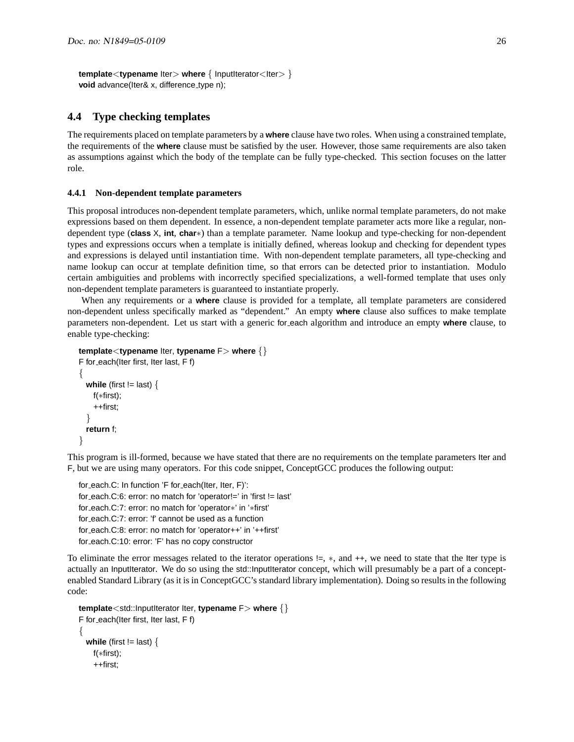**template**<**typename** lter> where { lnputIterator<Iter> } **void** advance(Iter& x, difference\_type n);

### <span id="page-25-0"></span>**4.4 Type checking templates**

The requirements placed on template parameters by a **where** clause have two roles. When using a constrained template, the requirements of the **where** clause must be satisfied by the user. However, those same requirements are also taken as assumptions against which the body of the template can be fully type-checked. This section focuses on the latter role.

#### <span id="page-25-1"></span>**4.4.1 Non-dependent template parameters**

This proposal introduces non-dependent template parameters, which, unlike normal template parameters, do not make expressions based on them dependent. In essence, a non-dependent template parameter acts more like a regular, nondependent type (**class** X, **int**, **char**∗) than a template parameter. Name lookup and type-checking for non-dependent types and expressions occurs when a template is initially defined, whereas lookup and checking for dependent types and expressions is delayed until instantiation time. With non-dependent template parameters, all type-checking and name lookup can occur at template definition time, so that errors can be detected prior to instantiation. Modulo certain ambiguities and problems with incorrectly specified specializations, a well-formed template that uses only non-dependent template parameters is guaranteed to instantiate properly.

When any requirements or a **where** clause is provided for a template, all template parameters are considered non-dependent unless specifically marked as "dependent." An empty **where** clause also suffices to make template parameters non-dependent. Let us start with a generic for each algorithm and introduce an empty **where** clause, to enable type-checking:

```
template<typename Iter, typename F> where {}
F for each(Iter first, Iter last, F f)
{
  while (first != last) {
   f(∗first);
    ++first;
  }
  return f;
}
```
This program is ill-formed, because we have stated that there are no requirements on the template parameters Iter and F, but we are using many operators. For this code snippet, ConceptGCC produces the following output:

```
for each.C: In function 'F for each(Iter, Iter, F)':
for each.C:6: error: no match for 'operator!=' in 'first != last'
for each.C:7: error: no match for 'operator∗' in '∗first'
for each.C:7: error: 'f' cannot be used as a function
for each.C:8: error: no match for 'operator++' in '++first'
for each.C:10: error: 'F' has no copy constructor
```
To eliminate the error messages related to the iterator operations !=, ∗, and ++, we need to state that the Iter type is actually an InputIterator. We do so using the std::InputIterator concept, which will presumably be a part of a conceptenabled Standard Library (as it is in ConceptGCC's standard library implementation). Doing so results in the following code:

```
template<std::InputIterator Iter, typename F> where {}
F for each(Iter first, Iter last, F f)
{
  while (first != last) {
    f(∗first);
    ++first;
```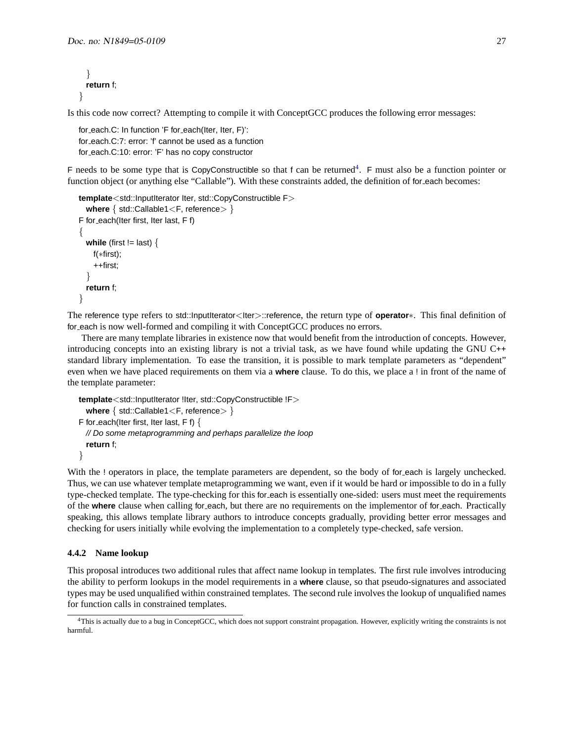```
}
  return f;
}
```
Is this code now correct? Attempting to compile it with ConceptGCC produces the following error messages:

```
for each.C: In function 'F for each(Iter, Iter, F)':
for each.C:7: error: 'f' cannot be used as a function
for each.C:10: error: 'F' has no copy constructor
```
F needs to be some type that is CopyConstructible so that f can be returned<sup>[4](#page-26-1)</sup>. F must also be a function pointer or function object (or anything else "Callable"). With these constraints added, the definition of for each becomes:

```
template<std::InputIterator Iter, std::CopyConstructible F>
  where \{ std::Callable1 < F, reference > \}F for each(Iter first, Iter last, F f)
{
  while (first != last) {
    f(∗first);
    ++first;
  }
  return f;
}
```
The reference type refers to std::InputIterator<Iter>::reference, the return type of **operator**∗. This final definition of for each is now well-formed and compiling it with ConceptGCC produces no errors.

There are many template libraries in existence now that would benefit from the introduction of concepts. However, introducing concepts into an existing library is not a trivial task, as we have found while updating the GNU C++ standard library implementation. To ease the transition, it is possible to mark template parameters as "dependent" even when we have placed requirements on them via a **where** clause. To do this, we place a ! in front of the name of the template parameter:

```
template<std::InputIterator !Iter, std::CopyConstructible !F>
  where \{ std::Callable1 < F, reference > \}F for each(Iter first, Iter last, F f) \{// Do some metaprogramming and perhaps parallelize the loop
  return f;
}
```
With the ! operators in place, the template parameters are dependent, so the body of for each is largely unchecked. Thus, we can use whatever template metaprogramming we want, even if it would be hard or impossible to do in a fully type-checked template. The type-checking for this for each is essentially one-sided: users must meet the requirements of the **where** clause when calling for each, but there are no requirements on the implementor of for each. Practically speaking, this allows template library authors to introduce concepts gradually, providing better error messages and checking for users initially while evolving the implementation to a completely type-checked, safe version.

#### <span id="page-26-0"></span>**4.4.2 Name lookup**

This proposal introduces two additional rules that affect name lookup in templates. The first rule involves introducing the ability to perform lookups in the model requirements in a **where** clause, so that pseudo-signatures and associated types may be used unqualified within constrained templates. The second rule involves the lookup of unqualified names for function calls in constrained templates.

<span id="page-26-1"></span><sup>4</sup>This is actually due to a bug in ConceptGCC, which does not support constraint propagation. However, explicitly writing the constraints is not harmful.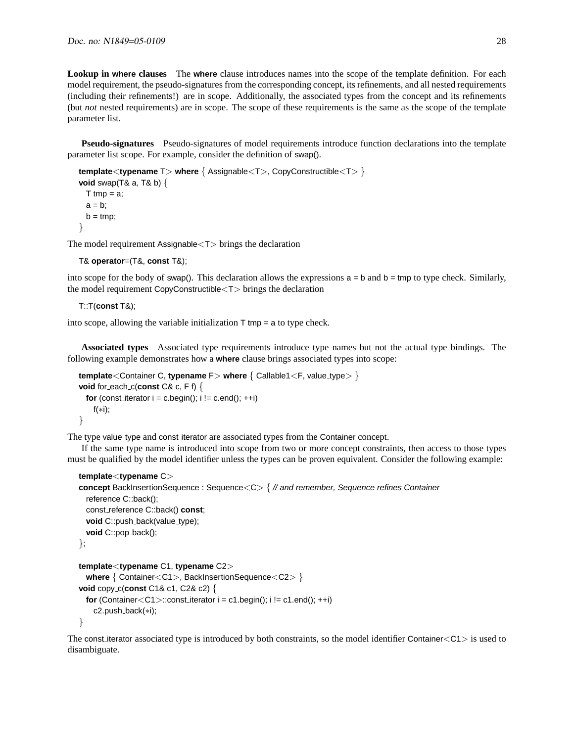**Lookup in where clauses** The **where** clause introduces names into the scope of the template definition. For each model requirement, the pseudo-signatures from the corresponding concept, its refinements, and all nested requirements (including their refinements!) are in scope. Additionally, the associated types from the concept and its refinements (but *not* nested requirements) are in scope. The scope of these requirements is the same as the scope of the template parameter list.

**Pseudo-signatures** Pseudo-signatures of model requirements introduce function declarations into the template parameter list scope. For example, consider the definition of swap().

```
template<typename T> where { Assignable<T>, CopyConstructible<T> }
void swap(T& a, T& b) {
  T tmp = a;
  a = b;
  b = \text{tmp};}
```
The model requirement Assignable<T> brings the declaration

```
T& operator=(T&, const T&);
```
into scope for the body of swap(). This declaration allows the expressions  $a = b$  and  $b = t$ mp to type check. Similarly, the model requirement CopyConstructible<T> brings the declaration

T::T(**const** T&);

into scope, allowing the variable initialization  $T$  tmp = a to type check.

**Associated types** Associated type requirements introduce type names but not the actual type bindings. The following example demonstrates how a **where** clause brings associated types into scope:

```
template<Container C, typename F> where \{ Callable1<F, value_type> \}void for each c (const C& c, F f) \{for (const_iterator i = c \cdot begin(); i := c \cdot e and(); ++i)
    f(∗i);
}
```
The type value type and const iterator are associated types from the Container concept.

If the same type name is introduced into scope from two or more concept constraints, then access to those types must be qualified by the model identifier unless the types can be proven equivalent. Consider the following example:

```
template<typename C>
concept BackInsertionSequence : Sequence<C> { // and remember, Sequence refines Container
 reference C::back();
 const reference C::back() const;
 void C::push_back(value_type);
 void C::pop_back();
};
template<typename C1, typename C2>
 where { Container<C1>, BackInsertionSequence<C2> }
void copy c(const C1& c1, C2& c2) {
 for (Container<C1>::const_iterator i = c1.begin(); i != c1.end(); ++i)
   c2.push back(∗i);
}
```
The const iterator associated type is introduced by both constraints, so the model identifier Container $\langle C1 \rangle$  is used to disambiguate.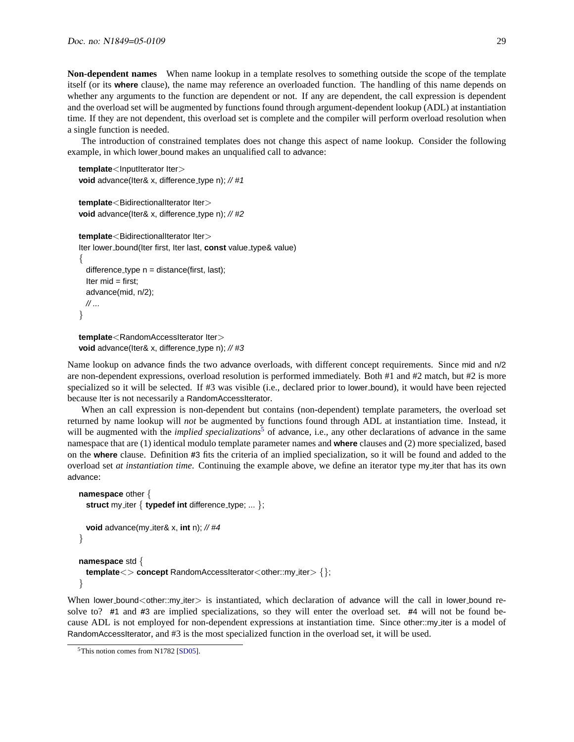**Non-dependent names** When name lookup in a template resolves to something outside the scope of the template itself (or its **where** clause), the name may reference an overloaded function. The handling of this name depends on whether any arguments to the function are dependent or not. If any are dependent, the call expression is dependent and the overload set will be augmented by functions found through argument-dependent lookup (ADL) at instantiation time. If they are not dependent, this overload set is complete and the compiler will perform overload resolution when a single function is needed.

The introduction of constrained templates does not change this aspect of name lookup. Consider the following example, in which lower bound makes an unqualified call to advance:

```
template<InputIterator Iter>
void advance(Iter& x, difference_type n); // #1
```

```
template<BidirectionalIterator Iter>
void advance(Iter& x, difference type n); // #2
```

```
template<BidirectionalIterator Iter>
Iter lower bound(Iter first, Iter last, const value type& value)
{
  difference_type n = distance(first, last);
  Iter mid = first;
  advance(mid, n/2);
  // ...
}
```

```
template<RandomAccessIterator Iter>
void advance(Iter& x, difference_type n); // #3
```
Name lookup on advance finds the two advance overloads, with different concept requirements. Since mid and n/2 are non-dependent expressions, overload resolution is performed immediately. Both #1 and #2 match, but #2 is more specialized so it will be selected. If #3 was visible (i.e., declared prior to lower bound), it would have been rejected because Iter is not necessarily a RandomAccessIterator.

When an call expression is non-dependent but contains (non-dependent) template parameters, the overload set returned by name lookup will *not* be augmented by functions found through ADL at instantiation time. Instead, it will be augmented with the *implied specializations*<sup>[5](#page-28-0)</sup> of advance, i.e., any other declarations of advance in the same namespace that are (1) identical modulo template parameter names and **where** clauses and (2) more specialized, based on the **where** clause. Definition **#**3 fits the criteria of an implied specialization, so it will be found and added to the overload set *at instantiation time*. Continuing the example above, we define an iterator type my iter that has its own advance:

```
namespace other {
  struct my_iter { typedef int difference_type; ... };
  void advance(my iter& x, int n); // #4
}
namespace std {
  template\langle concept RandomAccessIterator\langleother::my_iter\rangle {};
}
```
When lower bound < other::my iter> is instantiated, which declaration of advance will the call in lower bound resolve to? **#**1 and **#**3 are implied specializations, so they will enter the overload set. **#**4 will not be found because ADL is not employed for non-dependent expressions at instantiation time. Since other::my iter is a model of RandomAccessIterator, and #3 is the most specialized function in the overload set, it will be used.

<span id="page-28-0"></span><sup>&</sup>lt;sup>5</sup>This notion comes from N1782 [\[SD05\]](#page-45-13).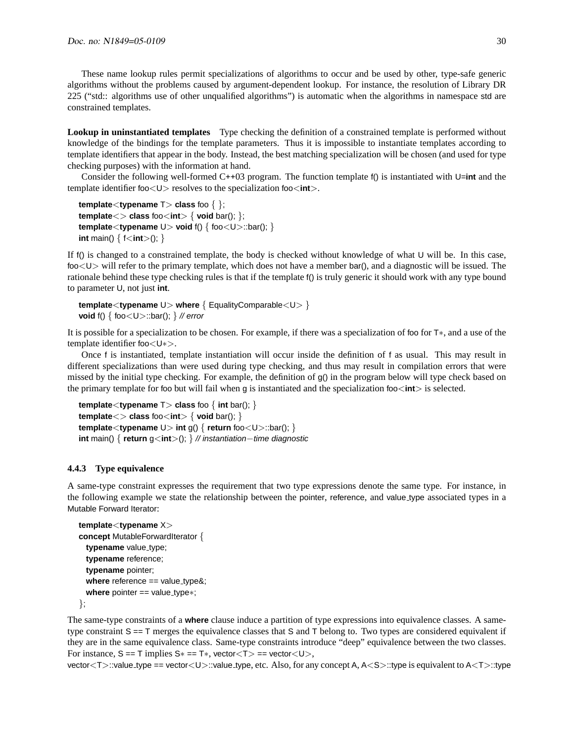These name lookup rules permit specializations of algorithms to occur and be used by other, type-safe generic algorithms without the problems caused by argument-dependent lookup. For instance, the resolution of Library DR 225 ("std:: algorithms use of other unqualified algorithms") is automatic when the algorithms in namespace std are constrained templates.

**Lookup in uninstantiated templates** Type checking the definition of a constrained template is performed without knowledge of the bindings for the template parameters. Thus it is impossible to instantiate templates according to template identifiers that appear in the body. Instead, the best matching specialization will be chosen (and used for type checking purposes) with the information at hand.

Consider the following well-formed C++03 program. The function template f() is instantiated with U=**int** and the template identifier foo<U> resolves to the specialization foo<**int**>.

```
template<typename T> class foo { };
template\langle > class foo\langle int\rangle { void bar(); };
template<typename U> void f() { foo<U>::bar(); }
int main() { f < int > (); }
```
If f() is changed to a constrained template, the body is checked without knowledge of what U will be. In this case, foo<U> will refer to the primary template, which does not have a member bar(), and a diagnostic will be issued. The rationale behind these type checking rules is that if the template f() is truly generic it should work with any type bound to parameter U, not just **int**.

```
template<typename U> where { EqualityComparable<U> }
void f() \{ foo<U>::bar(); \} // error
```
It is possible for a specialization to be chosen. For example, if there was a specialization of foo for T∗, and a use of the template identifier foo<U∗>.

Once f is instantiated, template instantiation will occur inside the definition of f as usual. This may result in different specializations than were used during type checking, and thus may result in compilation errors that were missed by the initial type checking. For example, the definition of g() in the program below will type check based on the primary template for foo but will fail when g is instantiated and the specialization foo<**int**> is selected.

```
template<typename T> class foo \{ int bar(); \}template<> class foo<int> { void bar(); }
template<typename U> int g() { return foo<U>::bar(); }
int main() { return g<int>(); } // instantiation−time diagnostic
```
#### <span id="page-29-0"></span>**4.4.3 Type equivalence**

A same-type constraint expresses the requirement that two type expressions denote the same type. For instance, in the following example we state the relationship between the pointer, reference, and value type associated types in a Mutable Forward Iterator:

```
template<typename X>
concept MutableForwardIterator {
 typename value_type;
  typename reference;
  typename pointer;
  where reference == value_type&;
  where pointer == value_type<sup>*</sup>;
```
};

The same-type constraints of a **where** clause induce a partition of type expressions into equivalence classes. A sametype constraint  $S = T$  merges the equivalence classes that S and T belong to. Two types are considered equivalent if they are in the same equivalence class. Same-type constraints introduce "deep" equivalence between the two classes. For instance,  $S == T$  implies  $S* == T*$ , vector< $T> == vector < U>$ ,

vector<T>::value\_type == vector<U>::value\_type, etc. Also, for any concept A, A<S>::type is equivalent to A<T>::type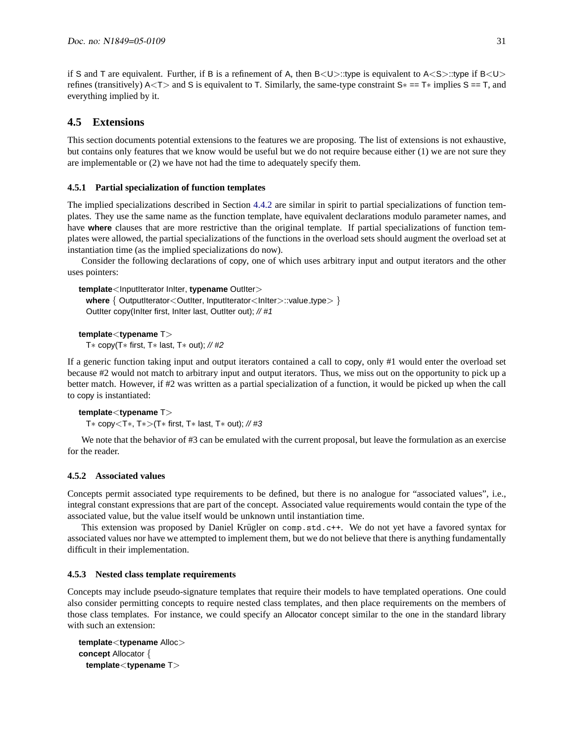if S and T are equivalent. Further, if B is a refinement of A, then  $B\langle U\rangle$ ::type is equivalent to  $A\langle S\rangle$ ::type if  $B\langle U\rangle$ refines (transitively) A<T> and S is equivalent to T. Similarly, the same-type constraint  $S^* = T^*$  implies  $S = T$ , and everything implied by it.

# <span id="page-30-0"></span>**4.5 Extensions**

This section documents potential extensions to the features we are proposing. The list of extensions is not exhaustive, but contains only features that we know would be useful but we do not require because either (1) we are not sure they are implementable or (2) we have not had the time to adequately specify them.

### <span id="page-30-1"></span>**4.5.1 Partial specialization of function templates**

The implied specializations described in Section [4.4.2](#page-26-0) are similar in spirit to partial specializations of function templates. They use the same name as the function template, have equivalent declarations modulo parameter names, and have **where** clauses that are more restrictive than the original template. If partial specializations of function templates were allowed, the partial specializations of the functions in the overload sets should augment the overload set at instantiation time (as the implied specializations do now).

Consider the following declarations of copy, one of which uses arbitrary input and output iterators and the other uses pointers:

**template**<InputIterator InIter, **typename** OutIter> **where** { OutputIterator<OutIter, InputIterator<InIter>::value\_type> } OutIter copy(InIter first, InIter last, OutIter out); // #1

```
template<typename T>
  T∗ copy(T∗ first, T∗ last, T∗ out); // #2
```
If a generic function taking input and output iterators contained a call to copy, only #1 would enter the overload set because #2 would not match to arbitrary input and output iterators. Thus, we miss out on the opportunity to pick up a better match. However, if #2 was written as a partial specialization of a function, it would be picked up when the call to copy is instantiated:

```
template<typename T>
```
T∗ copy<T∗, T∗>(T∗ first, T∗ last, T∗ out); // #3

We note that the behavior of #3 can be emulated with the current proposal, but leave the formulation as an exercise for the reader.

### <span id="page-30-2"></span>**4.5.2 Associated values**

Concepts permit associated type requirements to be defined, but there is no analogue for "associated values", i.e., integral constant expressions that are part of the concept. Associated value requirements would contain the type of the associated value, but the value itself would be unknown until instantiation time.

This extension was proposed by Daniel Krügler on comp.std.c++. We do not yet have a favored syntax for associated values nor have we attempted to implement them, but we do not believe that there is anything fundamentally difficult in their implementation.

### <span id="page-30-3"></span>**4.5.3 Nested class template requirements**

Concepts may include pseudo-signature templates that require their models to have templated operations. One could also consider permitting concepts to require nested class templates, and then place requirements on the members of those class templates. For instance, we could specify an Allocator concept similar to the one in the standard library with such an extension:

```
template<typename Alloc>
concept Allocator {
 template<typename T>
```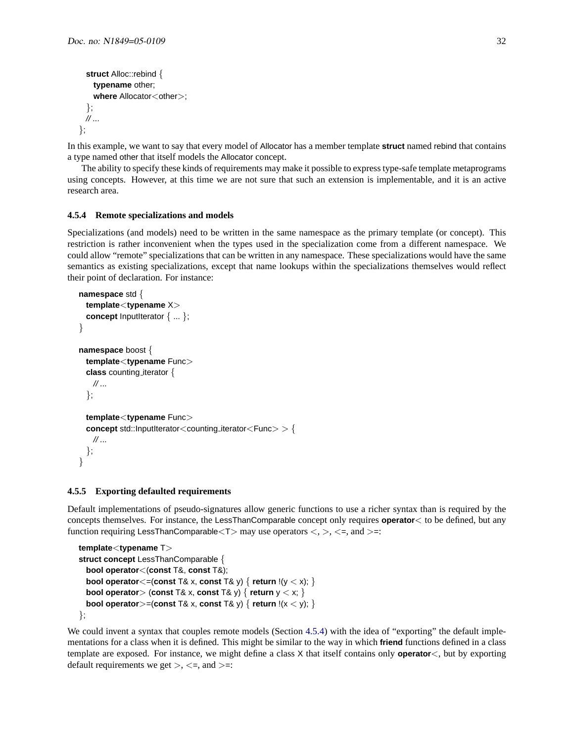```
struct Alloc::rebind {
   typename other;
    where Allocator<other>;
  };
  // ...
};
```
In this example, we want to say that every model of Allocator has a member template **struct** named rebind that contains a type named other that itself models the Allocator concept.

The ability to specify these kinds of requirements may make it possible to express type-safe template metaprograms using concepts. However, at this time we are not sure that such an extension is implementable, and it is an active research area.

#### <span id="page-31-0"></span>**4.5.4 Remote specializations and models**

Specializations (and models) need to be written in the same namespace as the primary template (or concept). This restriction is rather inconvenient when the types used in the specialization come from a different namespace. We could allow "remote" specializations that can be written in any namespace. These specializations would have the same semantics as existing specializations, except that name lookups within the specializations themselves would reflect their point of declaration. For instance:

```
namespace std {
  template<typename X>
  concept InputIterator { ... };
}
namespace boost {
  template<typename Func>
  class counting iterator {
   // ...
  };
  template<typename Func>
  concept std::InputIterator<counting_iterator<Func>> > {
   // ...
  };
}
```
#### <span id="page-31-1"></span>**4.5.5 Exporting defaulted requirements**

Default implementations of pseudo-signatures allow generic functions to use a richer syntax than is required by the concepts themselves. For instance, the LessThanComparable concept only requires **operator**< to be defined, but any function requiring LessThanComparable  $(T>$  may use operators  $\langle, \rangle, \langle =$ , and  $\rangle =$ :

```
template<typename T>
struct concept LessThanComparable {
 bool operator<(const T&, const T&);
 bool operator <= (const T& x, const T& y) { return !(y < x); }
 bool operator> (const T& x, const T& y) { return y < x; }
 bool operator>=(const T& x, const T& y) { return !(x < y); }
};
```
We could invent a syntax that couples remote models (Section [4.5.4\)](#page-31-0) with the idea of "exporting" the default implementations for a class when it is defined. This might be similar to the way in which **friend** functions defined in a class template are exposed. For instance, we might define a class X that itself contains only **operator**<, but by exporting default requirements we get  $>$ ,  $\lt$ =, and  $>$ =: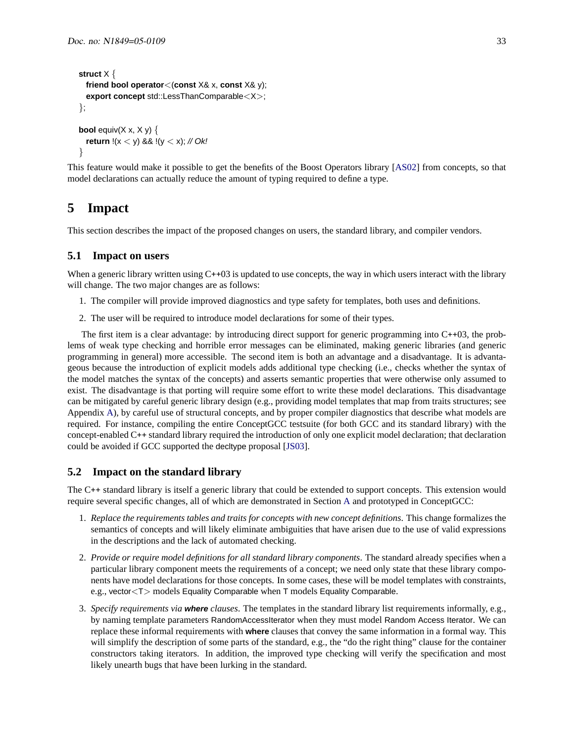```
struct X {
  friend bool operator<(const X& x, const X& y);
  export concept std::LessThanComparable<X>;
};
bool equiv(X x, X y) \{return !(x < y) && !(y < x); // Ok!
}
```
This feature would make it possible to get the benefits of the Boost Operators library [\[AS02\]](#page-44-5) from concepts, so that model declarations can actually reduce the amount of typing required to define a type.

# <span id="page-32-0"></span>**5 Impact**

This section describes the impact of the proposed changes on users, the standard library, and compiler vendors.

### <span id="page-32-1"></span>**5.1 Impact on users**

When a generic library written using C++03 is updated to use concepts, the way in which users interact with the library will change. The two major changes are as follows:

- 1. The compiler will provide improved diagnostics and type safety for templates, both uses and definitions.
- 2. The user will be required to introduce model declarations for some of their types.

The first item is a clear advantage: by introducing direct support for generic programming into C++03, the problems of weak type checking and horrible error messages can be eliminated, making generic libraries (and generic programming in general) more accessible. The second item is both an advantage and a disadvantage. It is advantageous because the introduction of explicit models adds additional type checking (i.e., checks whether the syntax of the model matches the syntax of the concepts) and asserts semantic properties that were otherwise only assumed to exist. The disadvantage is that porting will require some effort to write these model declarations. This disadvantage can be mitigated by careful generic library design (e.g., providing model templates that map from traits structures; see Appendix [A\)](#page-33-2), by careful use of structural concepts, and by proper compiler diagnostics that describe what models are required. For instance, compiling the entire ConceptGCC testsuite (for both GCC and its standard library) with the concept-enabled C++ standard library required the introduction of only one explicit model declaration; that declaration could be avoided if GCC supported the decltype proposal [\[JS03\]](#page-45-16).

### <span id="page-32-2"></span>**5.2 Impact on the standard library**

The C++ standard library is itself a generic library that could be extended to support concepts. This extension would require several specific changes, all of which are demonstrated in Section [A](#page-33-2) and prototyped in ConceptGCC:

- 1. *Replace the requirements tables and traits for concepts with new concept definitions*. This change formalizes the semantics of concepts and will likely eliminate ambiguities that have arisen due to the use of valid expressions in the descriptions and the lack of automated checking.
- 2. *Provide or require model definitions for all standard library components*. The standard already specifies when a particular library component meets the requirements of a concept; we need only state that these library components have model declarations for those concepts. In some cases, these will be model templates with constraints, e.g., vector<T> models Equality Comparable when T models Equality Comparable.
- 3. *Specify requirements via* **where** *clauses*. The templates in the standard library list requirements informally, e.g., by naming template parameters RandomAccessIterator when they must model Random Access Iterator. We can replace these informal requirements with **where** clauses that convey the same information in a formal way. This will simplify the description of some parts of the standard, e.g., the "do the right thing" clause for the container constructors taking iterators. In addition, the improved type checking will verify the specification and most likely unearth bugs that have been lurking in the standard.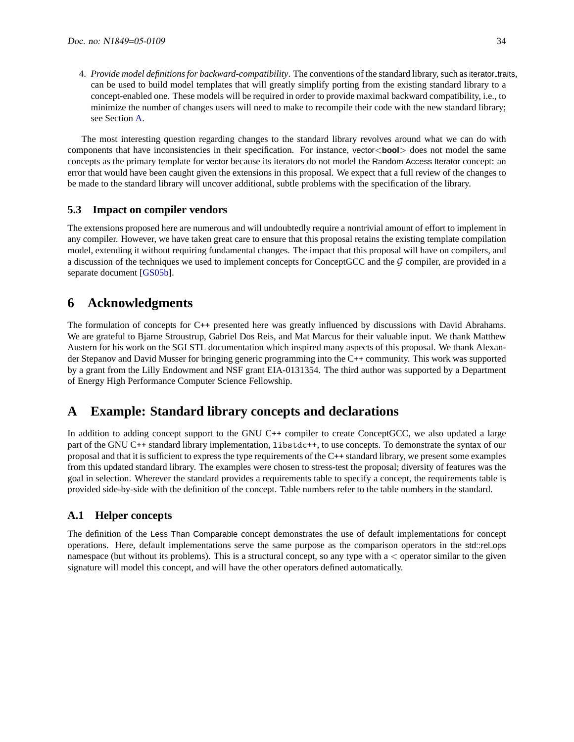4. *Provide model definitions for backward-compatibility*. The conventions of the standard library, such asiterator traits, can be used to build model templates that will greatly simplify porting from the existing standard library to a concept-enabled one. These models will be required in order to provide maximal backward compatibility, i.e., to minimize the number of changes users will need to make to recompile their code with the new standard library; see Section [A.](#page-33-2)

The most interesting question regarding changes to the standard library revolves around what we can do with components that have inconsistencies in their specification. For instance, vector<**bool**> does not model the same concepts as the primary template for vector because its iterators do not model the Random Access Iterator concept: an error that would have been caught given the extensions in this proposal. We expect that a full review of the changes to be made to the standard library will uncover additional, subtle problems with the specification of the library.

## <span id="page-33-0"></span>**5.3 Impact on compiler vendors**

The extensions proposed here are numerous and will undoubtedly require a nontrivial amount of effort to implement in any compiler. However, we have taken great care to ensure that this proposal retains the existing template compilation model, extending it without requiring fundamental changes. The impact that this proposal will have on compilers, and a discussion of the techniques we used to implement concepts for ConceptGCC and the  $G$  compiler, are provided in a separate document [\[GS05b\]](#page-45-1).

# <span id="page-33-1"></span>**6 Acknowledgments**

The formulation of concepts for C++ presented here was greatly influenced by discussions with David Abrahams. We are grateful to Bjarne Stroustrup, Gabriel Dos Reis, and Mat Marcus for their valuable input. We thank Matthew Austern for his work on the SGI STL documentation which inspired many aspects of this proposal. We thank Alexander Stepanov and David Musser for bringing generic programming into the C++ community. This work was supported by a grant from the Lilly Endowment and NSF grant EIA-0131354. The third author was supported by a Department of Energy High Performance Computer Science Fellowship.

# <span id="page-33-2"></span>**A Example: Standard library concepts and declarations**

In addition to adding concept support to the GNU C++ compiler to create ConceptGCC, we also updated a large part of the GNU C++ standard library implementation, libstdc++, to use concepts. To demonstrate the syntax of our proposal and that it is sufficient to express the type requirements of the C++ standard library, we present some examples from this updated standard library. The examples were chosen to stress-test the proposal; diversity of features was the goal in selection. Wherever the standard provides a requirements table to specify a concept, the requirements table is provided side-by-side with the definition of the concept. Table numbers refer to the table numbers in the standard.

## <span id="page-33-3"></span>**A.1 Helper concepts**

The definition of the Less Than Comparable concept demonstrates the use of default implementations for concept operations. Here, default implementations serve the same purpose as the comparison operators in the std::rel\_ops namespace (but without its problems). This is a structural concept, so any type with  $a <$  operator similar to the given signature will model this concept, and will have the other operators defined automatically.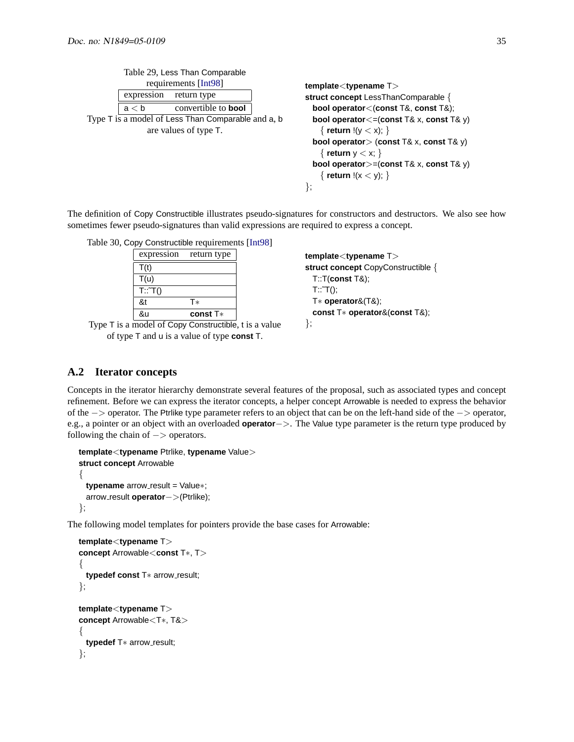|                                                    | Table 29, Less Than Comparable      |                                                                                                                                                                                                                                                |
|----------------------------------------------------|-------------------------------------|------------------------------------------------------------------------------------------------------------------------------------------------------------------------------------------------------------------------------------------------|
| expression                                         | requirements [Int98]<br>return type | $template <$ typename $T>$<br>struct concept LessThanComparable {                                                                                                                                                                              |
| a < b                                              | convertible to <b>bool</b>          | bool operator<(const T&, const T&);                                                                                                                                                                                                            |
| Type T is a model of Less Than Comparable and a, b | are values of type T.               | bool operator <= (const T& x, const T& y)<br>$\{$ return $!(y < x); \}$<br><b>bool operator</b> $>$ (const T& x, const T& y)<br>$\{$ return $y < x$ ; $\}$<br><b>bool operator</b> $>=($ const T& x, const T& y)<br>{ return !(x < y); }<br>∤; |

The definition of Copy Constructible illustrates pseudo-signatures for constructors and destructors. We also see how sometimes fewer pseudo-signatures than valid expressions are required to express a concept.

| Table 30, Copy Constructible requirements [Int98] |                        |  |
|---------------------------------------------------|------------------------|--|
|                                                   | expression return type |  |
| T(t)                                              |                        |  |
| T(u)                                              |                        |  |
| T::T()                                            |                        |  |
| &t                                                | Т×                     |  |
| &u                                                | const $T*$             |  |

Type T is a model of Copy Constructible, t is a value of type T and u is a value of type **const** T.

**template**<**typename** T> **struct concept** CopyConstructible { T::T(**const** T&);  $T:^T(T)$ ; T∗ **operator**&(T&); **const** T∗ **operator**&(**const** T&); };

# <span id="page-34-0"></span>**A.2 Iterator concepts**

Concepts in the iterator hierarchy demonstrate several features of the proposal, such as associated types and concept refinement. Before we can express the iterator concepts, a helper concept Arrowable is needed to express the behavior of the −> operator. The Ptrlike type parameter refers to an object that can be on the left-hand side of the −> operator, e.g., a pointer or an object with an overloaded **operator**−>. The Value type parameter is the return type produced by following the chain of  $->$  operators.

```
template<typename Ptrlike, typename Value>
struct concept Arrowable
\left\{ \right\}typename arrow_result = Value∗;
  arrow result operator−>(Ptrlike);
};
```
The following model templates for pointers provide the base cases for Arrowable:

```
template<typename T>
concept Arrowable<const T∗, T>
{
  typedef const T<sup>*</sup> arrow_result;
};
template<typename T>
concept Arrowable<T∗, T&>
{
  typedef T<sup>*</sup> arrow_result;
};
```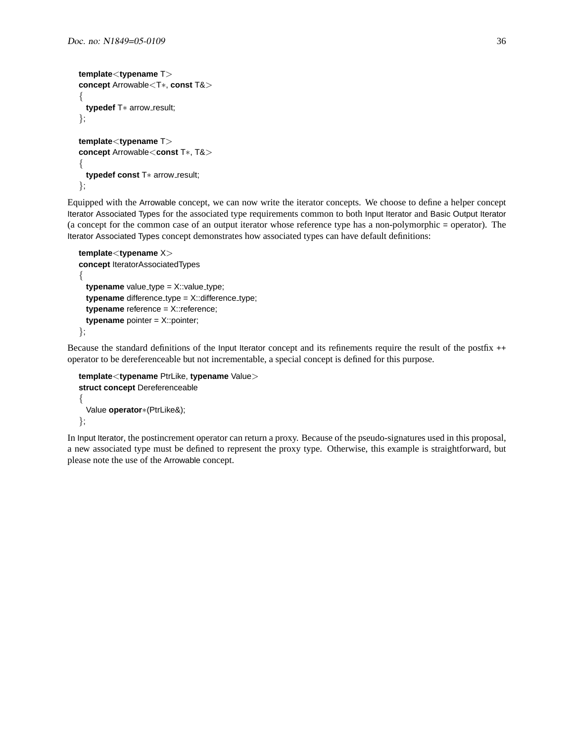```
template<typename T>
concept Arrowable<T∗, const T&>
{
 typedef T<sup>*</sup> arrow_result;
};
template<typename T>
concept Arrowable<const T∗, T&>
{
  typedef const T<sup>*</sup> arrow_result;
```
};

Equipped with the Arrowable concept, we can now write the iterator concepts. We choose to define a helper concept Iterator Associated Types for the associated type requirements common to both Input Iterator and Basic Output Iterator (a concept for the common case of an output iterator whose reference type has a non-polymorphic = operator). The Iterator Associated Types concept demonstrates how associated types can have default definitions:

```
template<typename X>
concept IteratorAssociatedTypes
{
  typename value_type = X::value_type;
  typename difference_type = X::difference_type;
  typename reference = X::reference;
  typename pointer = X::pointer;
};
```
Because the standard definitions of the Input Iterator concept and its refinements require the result of the postfix ++ operator to be dereferenceable but not incrementable, a special concept is defined for this purpose.

```
template<typename PtrLike, typename Value>
struct concept Dereferenceable
{
 Value operator∗(PtrLike&);
};
```
In Input Iterator, the postincrement operator can return a proxy. Because of the pseudo-signatures used in this proposal, a new associated type must be defined to represent the proxy type. Otherwise, this example is straightforward, but please note the use of the Arrowable concept.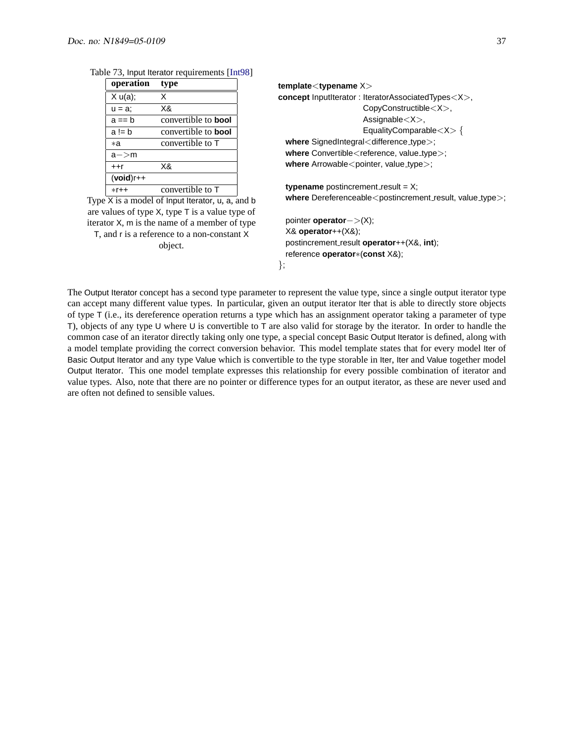| operation    | type                       |
|--------------|----------------------------|
| X u(a);      | x                          |
| $u = a$ ;    | X&                         |
| $a == b$     | convertible to <b>bool</b> |
| $a = b$      | convertible to <b>bool</b> |
| ×а           | convertible to T           |
| $a$ – $>$ m  |                            |
| $+$ +r       | X&                         |
| $(void)$ r++ |                            |
| $*r++$       | convertible to T           |

Table 73, Input Iterator requirements [\[Int98\]](#page-45-17)

Type  $\overline{X}$  is a model of Input Iterator, u, a, and b are values of type X, type T is a value type of iterator X, m is the name of a member of type T, and r is a reference to a non-constant X object.

```
template<typename X>
concept InputIterator : IteratorAssociatedTypes<X>,
                     CopyConstructible<X>,
                     Assignable<X>,
                     EqualityComparable<X> {
 where SignedIntegral<difference_type>;
 where Convertible<reference, value_type>;
 where Arrowable<pointer, value_type>;
 typename postincrement_result = X;
```
where Dereferenceable<postincrement\_result, value\_type>;

pointer **operator**−>(X); X& **operator**++(X&); postincrement result **operator**++(X&, **int**); reference **operator**∗(**const** X&);

```
};
```
The Output Iterator concept has a second type parameter to represent the value type, since a single output iterator type can accept many different value types. In particular, given an output iterator Iter that is able to directly store objects of type T (i.e., its dereference operation returns a type which has an assignment operator taking a parameter of type T), objects of any type U where U is convertible to T are also valid for storage by the iterator. In order to handle the common case of an iterator directly taking only one type, a special concept Basic Output Iterator is defined, along with a model template providing the correct conversion behavior. This model template states that for every model Iter of Basic Output Iterator and any type Value which is convertible to the type storable in Iter, Iter and Value together model Output Iterator. This one model template expresses this relationship for every possible combination of iterator and value types. Also, note that there are no pointer or difference types for an output iterator, as these are never used and are often not defined to sensible values.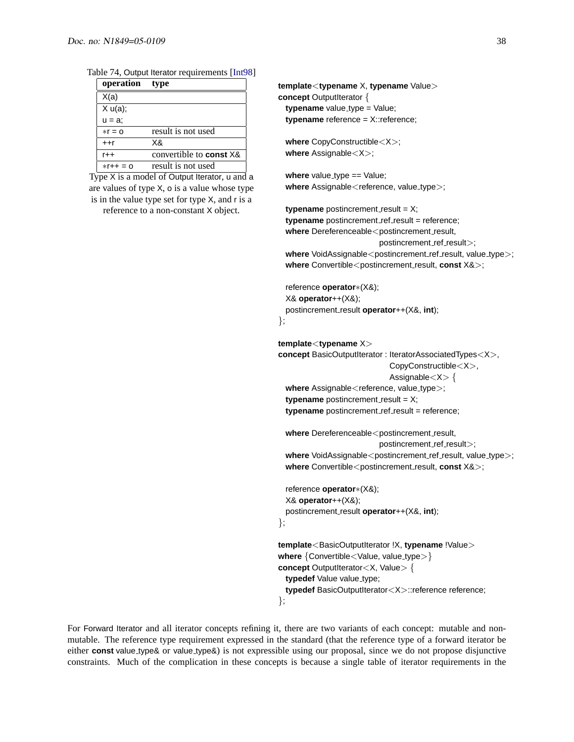#### Table 74, Output Iterator requirements [\[Int98\]](#page-45-17)

| operation  | type                           |
|------------|--------------------------------|
| X(a)       |                                |
| X u(a);    |                                |
| $u = a$    |                                |
| $*r = 0$   | result is not used             |
| $++r$      | X&                             |
| $r++$      | convertible to <b>const</b> X& |
| $*r++ = 0$ | result is not used             |

Type X is a model of Output Iterator, u and a are values of type X, o is a value whose type is in the value type set for type X, and r is a reference to a non-constant X object.

**template**<**typename** X, **typename** Value> **concept** OutputIterator { **typename** value\_type = Value; **typename** reference = X::reference;

**where** CopyConstructible<X>; **where** Assignable<X>;

**where** value\_type == Value; where Assignable<reference, value\_type>;

**typename** postincrement\_result =  $X$ ; **typename** postincrement\_ref\_result = reference; where Dereferenceable<postincrement\_result, postincrement\_ref\_result>; **where** VoidAssignable<postincrement\_ref\_result, value\_type>; **where** Convertible <postincrement\_result, **const** X&>;

reference **operator**∗(X&); X& **operator**++(X&); postincrement result **operator**++(X&, **int**); };

**template**<**typename** X> **concept** BasicOutputIterator : IteratorAssociatedTypes<X>, CopyConstructible<X>, Assignable <X> { where Assignable<reference, value\_type>; **typename** postincrement\_result =  $X$ ; **typename** postincrement\_ref\_result = reference; where Dereferenceable<postincrement\_result, postincrement\_ref\_result>; where VoidAssignable<postincrement\_ref\_result, value\_type>; **where** Convertible<postincrement\_result, **const** X&>;

reference **operator**∗(X&); X& **operator**++(X&); postincrement result **operator**++(X&, **int**); };

```
template<BasicOutputIterator !X, typename !Value>
where {Convertible<Value, value_type>}
concept OutputIterator<X, Value> {
 typedef Value value_type;
 typedef BasicOutputIterator<X>::reference reference;
};
```
For Forward Iterator and all iterator concepts refining it, there are two variants of each concept: mutable and nonmutable. The reference type requirement expressed in the standard (that the reference type of a forward iterator be either **const** value type& or value type&) is not expressible using our proposal, since we do not propose disjunctive constraints. Much of the complication in these concepts is because a single table of iterator requirements in the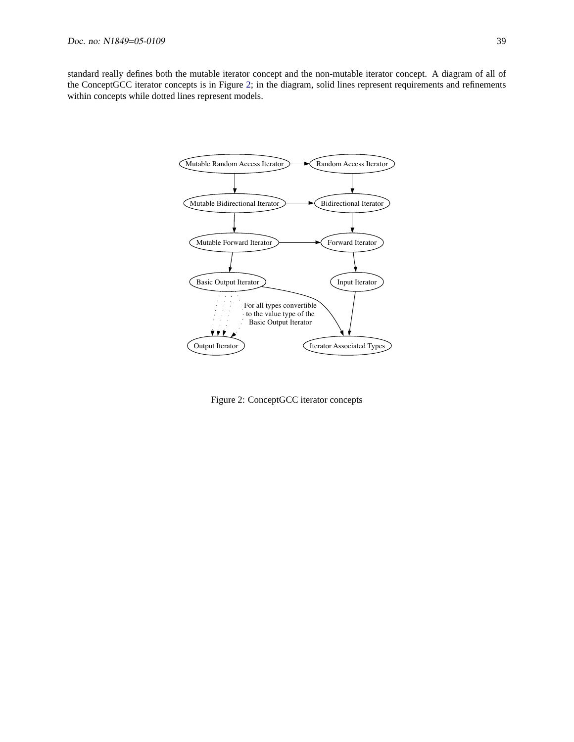standard really defines both the mutable iterator concept and the non-mutable iterator concept. A diagram of all of the ConceptGCC iterator concepts is in Figure [2;](#page-38-0) in the diagram, solid lines represent requirements and refinements within concepts while dotted lines represent models.



<span id="page-38-0"></span>Figure 2: ConceptGCC iterator concepts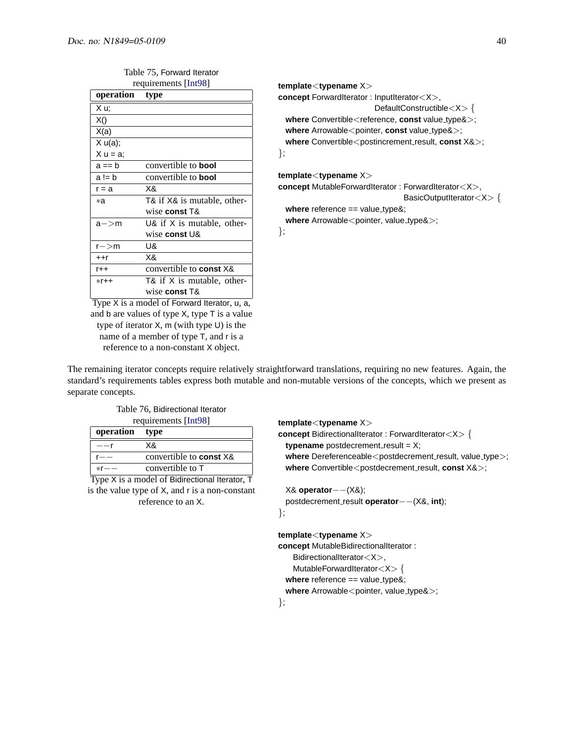| operation | <b>type</b>                    |
|-----------|--------------------------------|
| X u:      |                                |
| X()       |                                |
| X(a)      |                                |
| X u(a);   |                                |
| $X u = a$ |                                |
| $a == b$  | convertible to <b>bool</b>     |
| a != b    | convertible to <b>bool</b>     |
| $r = a$   | X&                             |
| ∗a        | T& if X& is mutable, other-    |
|           | wise const T&                  |
| a—>m      | U& if $X$ is mutable, other-   |
|           | wise <b>const</b> U&           |
| $r$ $>$ m | U&                             |
| $+$ +r    | X&                             |
| $r_{++}$  | convertible to <b>const</b> X& |
| $*r++$    | T& if X is mutable, other-     |
|           | wise <b>const</b> T&           |

Table 75, Forward Iterator requirements [\[Int98\]](#page-45-17)

Type X is a model of Forward Iterator, u, a, and b are values of type X, type T is a value type of iterator X, m (with type U) is the name of a member of type T, and r is a reference to a non-constant X object.

**template**<**typename** X> **concept** ForwardIterator : InputIterator<X>, DefaultConstructible<X> { where Convertible<reference, const value\_type& $>$ ; **where** Arrowable < pointer, **const** value type & >; where Convertible<postincrement\_result, **const** X&>; };

**template**<**typename** X> **concept** MutableForwardIterator : ForwardIterator<X>, BasicOutputIterator<X> {

**where** reference == value\_type&;

where Arrowable<pointer, value\_type&>;

};

The remaining iterator concepts require relatively straightforward translations, requiring no new features. Again, the standard's requirements tables express both mutable and non-mutable versions of the concepts, which we present as separate concepts.

| Table 76, Bidirectional Iterator<br>requirements [Int98]      |                                |  |
|---------------------------------------------------------------|--------------------------------|--|
| operation type                                                |                                |  |
|                                                               | X&                             |  |
|                                                               | convertible to <b>const</b> X& |  |
| $*r$ –                                                        | convertible to T               |  |
| $T_{\text{max}}$ $V$ is a model of Didirectional Heroter. $T$ |                                |  |

Type X is a model of Bidirectional Iterator, T is the value type of X, and r is a non-constant reference to an X.

```
template<typename X>
concept BidirectionalIterator : ForwardIterator<X> {
 typename postdecrement_result = X;
 where Dereferenceable<postdecrement_result, value_type>;
 where Convertible<postdecrement_result, const X&>;
```

```
X& operator−−(X&);
 postdecrement result operator−−(X&, int);
};
```

```
template<typename X>
concept MutableBidirectionalIterator :
   BidirectionalIterator<X>,
   MutableForwardIterator<X> {
 where reference == value_type&;
 where Arrowable<pointer, value_type&>;
```
};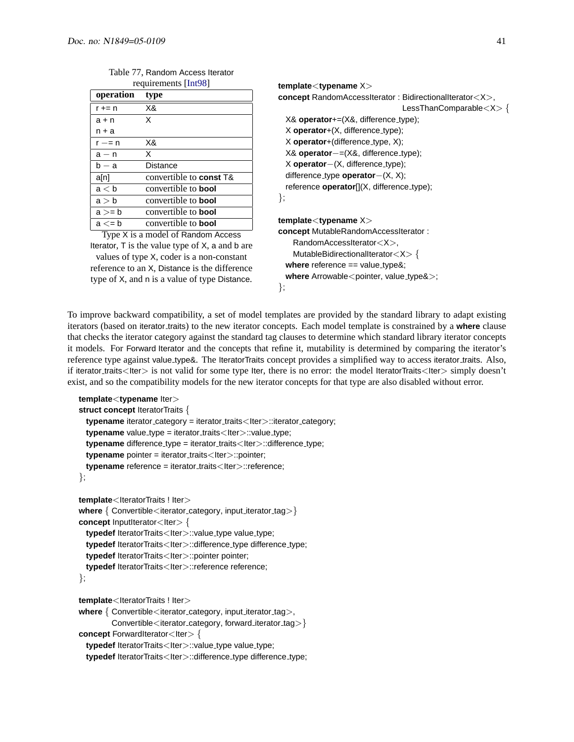| type                           |
|--------------------------------|
| X&                             |
| X                              |
|                                |
| X&                             |
| X                              |
| Distance                       |
| convertible to <b>const</b> T& |
| convertible to <b>bool</b>     |
| convertible to <b>bool</b>     |
| convertible to <b>bool</b>     |
| convertible to <b>bool</b>     |
|                                |

| Table 77, Random Access Iterator |
|----------------------------------|
| requirements [Int98]             |

Type X is a model of Random Access Iterator, T is the value type of X, a and b are values of type X, coder is a non-constant reference to an X, Distance is the difference type of X, and n is a value of type Distance.

```
template<typename X>
concept RandomAccessIterator : BidirectionalIterator<X>,
                               LessThanComparable<X> {
 X& operator+=(X&, difference_type);
 X operator+(X, difference type);
 X operator+(difference type, X);
 X& operator−=(X&, difference type);
 X operator−(X, difference type);
 difference type operator−(X, X);
 reference operator[](X, difference_type);
};
template<typename X>
concept MutableRandomAccessIterator :
   RandomAccessIterator<X>,
   MutableBidirectionalIterator<X> {
 where reference == value_type&;
```
where Arrowable<pointer, value\_type& $>$ ; };

To improve backward compatibility, a set of model templates are provided by the standard library to adapt existing iterators (based on iterator traits) to the new iterator concepts. Each model template is constrained by a **where** clause that checks the iterator category against the standard tag clauses to determine which standard library iterator concepts it models. For Forward Iterator and the concepts that refine it, mutability is determined by comparing the iterator's reference type against value type&. The IteratorTraits concept provides a simplified way to access iterator traits. Also, if iterator traits<Iter> is not valid for some type Iter, there is no error: the model IteratorTraits<Iter> simply doesn't exist, and so the compatibility models for the new iterator concepts for that type are also disabled without error.

```
template<typename Iter>
struct concept IteratorTraits {
  typename iterator_category = iterator_traits<Iter>::iterator_category;
  typename value_type = iterator_traits<lter>::value_type;
  typename difference_type = iterator_traits<lter>::difference_type;
  typename pointer = iterator_traits<Iter>::pointer;
  typename reference = iterator_traits<Iter>::reference;
};
template<IteratorTraits ! Iter>
where { Convertible<iterator_category, input_iterator_tag>}
concept InputIterator<Iter> {
  typedef IteratorTraits<Iter>::value_type value_type;
  typedef IteratorTraits<Iter>::difference_type difference_type;
  typedef IteratorTraits<Iter>::pointer pointer;
  typedef IteratorTraits<Iter>::reference reference;
};
template<IteratorTraits ! Iter>
where { Convertible<iterator_category, input_iterator_tag>,
         Convertible<iterator_category, forward_iterator_tag>}
concept ForwardIterator<Iter> {
```
**typedef** IteratorTraits<Iter>::value\_type value\_type;

typedef IteratorTraits<Iter>::difference\_type difference\_type;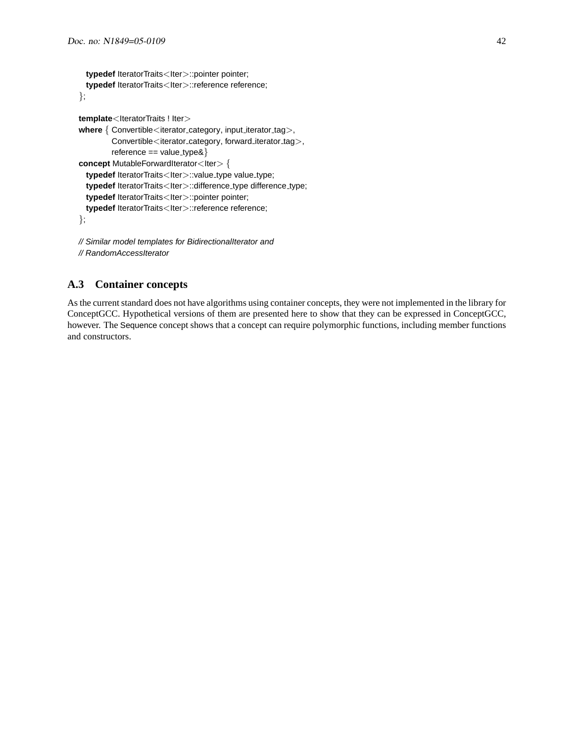```
typedef IteratorTraits<Iter>::pointer pointer;
  typedef IteratorTraits<Iter>::reference reference;
};
template<IteratorTraits ! Iter>
where { Convertible<iterator_category, input_iterator_tag>,
         Convertible<iterator_category, forward_iterator_tag>,
        reference == value_type@concept MutableForwardIterator<Iter>{
  typedef IteratorTraits<Iter>::value_type value_type;
  typedef IteratorTraits<Iter>::difference_type difference_type;
  typedef IteratorTraits<Iter>::pointer pointer;
 typedef IteratorTraits<Iter>::reference reference;
};
```
// Similar model templates for BidirectionalIterator and // RandomAccessIterator

# <span id="page-41-0"></span>**A.3 Container concepts**

As the current standard does not have algorithms using container concepts, they were not implemented in the library for ConceptGCC. Hypothetical versions of them are presented here to show that they can be expressed in ConceptGCC, however. The Sequence concept shows that a concept can require polymorphic functions, including member functions and constructors.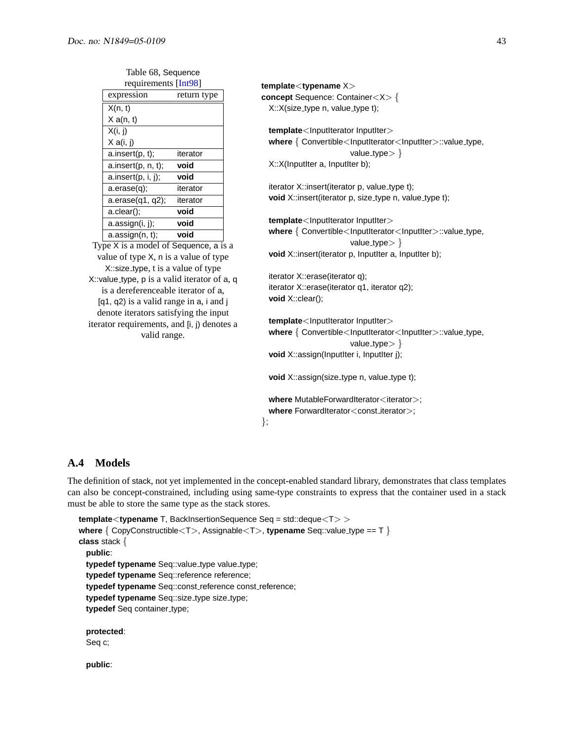Table 68, Sequence

|  | requirements [Int98]                         |             | template <typename x=""></typename>                                                  |
|--|----------------------------------------------|-------------|--------------------------------------------------------------------------------------|
|  | expression                                   | return type | concept Sequence: Container <x> {</x>                                                |
|  | X(n, t)                                      |             | X::X(size_type n, value_type t);                                                     |
|  | X a(n, t)                                    |             |                                                                                      |
|  | X(i, j)                                      |             | template <lnputiterator inputiter=""></lnputiterator>                                |
|  | X a(i, j)                                    |             | where { Convertible <inputiterator<inputiter>::value_type,</inputiterator<inputiter> |
|  | a.insert(p, t);                              | iterator    | value_type $>\}$                                                                     |
|  | a.insert(p, n, t);                           | void        | X::X(InputIter a, InputIter b);                                                      |
|  | a.insert(p, i, j);                           | void        |                                                                                      |
|  | a. erase(q);                                 | iterator    | iterator X::insert(iterator p, value_type t);                                        |
|  | a. erase(q1, q2);                            | iterator    | void X::insert(iterator p, size_type n, value_type t);                               |
|  | a.clear();                                   | void        |                                                                                      |
|  | a.assign(i, j);                              | void        | template <lnputiterator inputiter=""></lnputiterator>                                |
|  | a. assign(n, t);                             | void        | where { Convertible <inputiterator<inputiter>::value_type,</inputiterator<inputiter> |
|  | Type X is a model of Sequence, a is a        |             | value_type $>\}$                                                                     |
|  | value of type X, n is a value of type        |             | void X::insert(iterator p, InputIter a, InputIter b);                                |
|  | X::size_type, t is a value of type           |             |                                                                                      |
|  | X: value_type, p is a valid iterator of a, q |             | iterator X::erase(iterator q);                                                       |
|  | is a dereferenceable iterator of a,          |             | iterator X::erase(iterator q1, iterator q2);                                         |
|  | [q1, q2) is a valid range in a, i and j      |             | void $X::clear();$                                                                   |
|  | denote iterators satisfying the input        |             |                                                                                      |
|  | iterator requirements, and [i, j) denotes a  |             | template                                                                             |
|  | valid range.                                 |             | where { Convertible <lnputiterator<lnputiter>::value_type,</lnputiterator<lnputiter> |
|  |                                              |             | value_type $>\}$                                                                     |
|  |                                              |             | void X::assign(InputIter i, InputIter j);                                            |
|  |                                              |             | void X::assign(size_type n, value_type t);                                           |
|  |                                              |             | where MutableForwardIterator <iterator>;</iterator>                                  |
|  |                                              |             | where ForwardIterator <const_iterator>;</const_iterator>                             |

```
};
```
# <span id="page-42-0"></span>**A.4 Models**

The definition of stack, not yet implemented in the concept-enabled standard library, demonstrates that class templates can also be concept-constrained, including using same-type constraints to express that the container used in a stack must be able to store the same type as the stack stores.

```
template<typename T, BackInsertionSequence Seq = std::deque<T> >
where \{ \text{CopyConstructible} < T >, \text{Assignable} < T >, \text{typename} \text{Seq:} \text{value_type == T} \}class stack {
  public:
  typedef typename Seq::value_type value_type;
  typedef typename Seq::reference reference;
  typedef typename Seq::const reference const reference;
  typedef typename Seq::size_type size_type;
  typedef Seq container_type;
  protected:
```
Seq c;

**public**: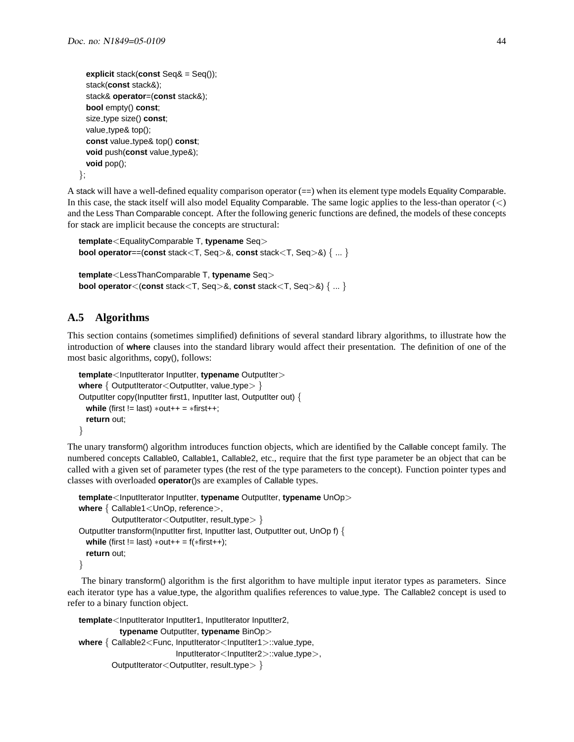```
explicit stack(const Seq& = Seq());
  stack(const stack&);
  stack& operator=(const stack&);
  bool empty() const;
  size type size() const;
  value_type& top();
  const value type& top() const;
  void push(const value_type&);
  void pop();
};
```
A stack will have a well-defined equality comparison operator (==) when its element type models Equality Comparable. In this case, the stack itself will also model Equality Comparable. The same logic applies to the less-than operator  $\langle \langle \rangle$ and the Less Than Comparable concept. After the following generic functions are defined, the models of these concepts for stack are implicit because the concepts are structural:

```
template<EqualityComparable T, typename Seq>
bool operator==(const stack<T, Seq>&, const stack<T, Seq>&) { ... }
```

```
template<LessThanComparable T, typename Seq>
bool operator<(const stack<T, Seq>&, const stack<T, Seq>&) { ... }
```
# <span id="page-43-0"></span>**A.5 Algorithms**

This section contains (sometimes simplified) definitions of several standard library algorithms, to illustrate how the introduction of **where** clauses into the standard library would affect their presentation. The definition of one of the most basic algorithms, copy(), follows:

```
template<InputIterator InputIter, typename OutputIter>
where { OutputIterator<OutputIter, value_type> }
OutputIter copy(InputIter first1, InputIter last, OutputIter out) {
  while (first != last) ∗out++ = ∗first++;
  return out;
}
```
The unary transform() algorithm introduces function objects, which are identified by the Callable concept family. The numbered concepts Callable0, Callable1, Callable2, etc., require that the first type parameter be an object that can be called with a given set of parameter types (the rest of the type parameters to the concept). Function pointer types and classes with overloaded **operator**()s are examples of Callable types.

```
template<InputIterator InputIter, typename OutputIter, typename UnOp>
where { Callable1<UnOp, reference>,
         OutputIterator<OutputIter, result_type> }
OutputIter transform(InputIter first, InputIter last, OutputIter out, UnOp f) {
  while (first != last) *out++ = f(*first++);
  return out;
}
```
The binary transform() algorithm is the first algorithm to have multiple input iterator types as parameters. Since each iterator type has a value type, the algorithm qualifies references to value type. The Callable2 concept is used to refer to a binary function object.

```
template<InputIterator InputIter1, InputIterator InputIter2,
           \tt typename OutputIter, typename BinOp>
where { Callable2<Func, InputIterator<InputIter1>::value_type,
                          InputIterator < InputIter2 > :value_type,
         OutputIterator<OutputIter, result_type> }
```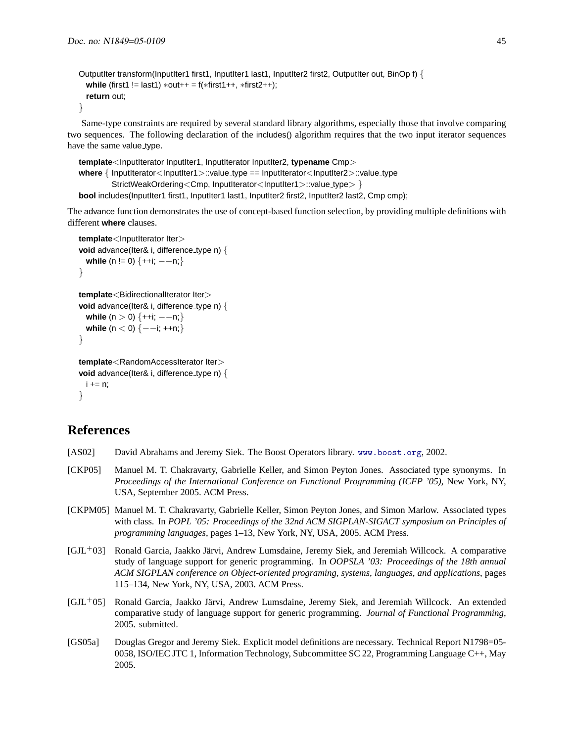```
OutputIter transform(InputIter1 first1, InputIter1 last1, InputIter2 first2, OutputIter out, BinOp f) {
  while (first1 != last1) ∗out++ = f(*first1++, *first2++);
  return out;
```
}

Same-type constraints are required by several standard library algorithms, especially those that involve comparing two sequences. The following declaration of the includes() algorithm requires that the two input iterator sequences have the same value\_type.

```
template<InputIterator InputIter1, InputIterator InputIter2, typename Cmp>
where { InputIterator<InputIter1>::value_type == InputIterator<InputIter2>::value_type
         StrictWeakOrdering<Cmp, InputIterator<InputIter1>::value_type> }
bool includes(InputIter1 first1, InputIter1 last1, InputIter2 first2, InputIter2 last2, Cmp cmp);
```
The advance function demonstrates the use of concept-based function selection, by providing multiple definitions with different **where** clauses.

```
template<InputIterator Iter>
void advance(Iter& i, difference_type n) {
  while (n != 0) \{++i; ---n; \}}
template<BidirectionalIterator Iter>
void advance(Iter& i, difference type n) {
  while (n > 0) {++i; --n;}
  while (n < 0) {---i; ++n;}
}
template<RandomAccessIterator Iter>
void advance(Iter& i, difference_type n) {
 i + = n;
}
```
# **References**

- <span id="page-44-5"></span>[AS02] David Abrahams and Jeremy Siek. The Boost Operators library. <www.boost.org>, 2002.
- <span id="page-44-3"></span>[CKP05] Manuel M. T. Chakravarty, Gabrielle Keller, and Simon Peyton Jones. Associated type synonyms. In *Proceedings of the International Conference on Functional Programming (ICFP '05)*, New York, NY, USA, September 2005. ACM Press.
- <span id="page-44-2"></span>[CKPM05] Manuel M. T. Chakravarty, Gabrielle Keller, Simon Peyton Jones, and Simon Marlow. Associated types with class. In *POPL '05: Proceedings of the 32nd ACM SIGPLAN-SIGACT symposium on Principles of programming languages*, pages 1–13, New York, NY, USA, 2005. ACM Press.
- <span id="page-44-0"></span>[GJL<sup>+</sup>03] Ronald Garcia, Jaakko Jarvi, Andrew Lumsdaine, Jeremy Siek, and Jeremiah Willcock. A comparative ¨ study of language support for generic programming. In *OOPSLA '03: Proceedings of the 18th annual ACM SIGPLAN conference on Object-oriented programing, systems, languages, and applications*, pages 115–134, New York, NY, USA, 2003. ACM Press.
- <span id="page-44-1"></span>[GJL<sup>+</sup>05] Ronald Garcia, Jaakko Jarvi, Andrew Lumsdaine, Jeremy Siek, and Jeremiah Willcock. An extended ¨ comparative study of language support for generic programming. *Journal of Functional Programming*, 2005. submitted.
- <span id="page-44-4"></span>[GS05a] Douglas Gregor and Jeremy Siek. Explicit model definitions are necessary. Technical Report N1798=05- 0058, ISO/IEC JTC 1, Information Technology, Subcommittee SC 22, Programming Language C++, May 2005.